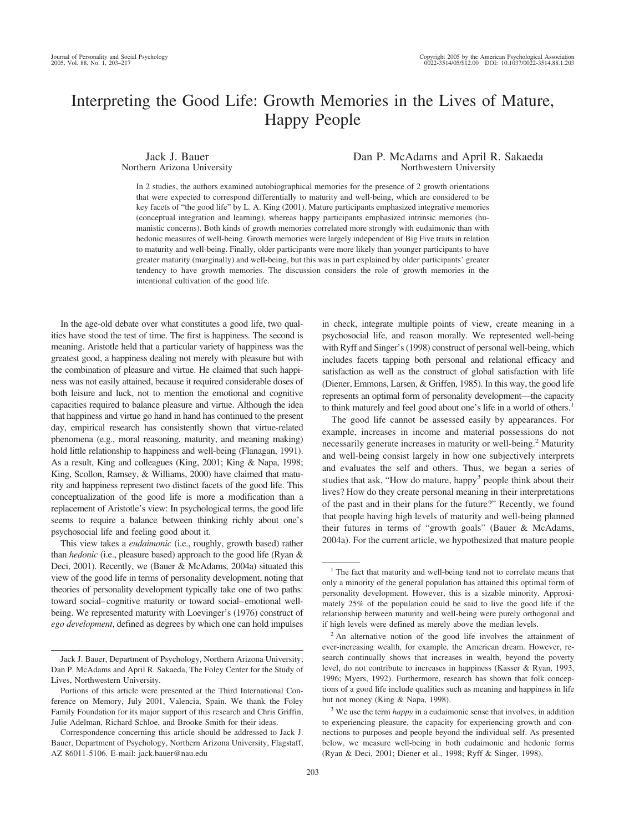# Interpreting the Good Life: Growth Memories in the Lives of Mature, Happy People

Jack J. Bauer Northern Arizona University

### Dan P. McAdams and April R. Sakaeda Northwestern University

In 2 studies, the authors examined autobiographical memories for the presence of 2 growth orientations that were expected to correspond differentially to maturity and well-being, which are considered to be key facets of "the good life" by L. A. King (2001). Mature participants emphasized integrative memories (conceptual integration and learning), whereas happy participants emphasized intrinsic memories (humanistic concerns). Both kinds of growth memories correlated more strongly with eudaimonic than with hedonic measures of well-being. Growth memories were largely independent of Big Five traits in relation to maturity and well-being. Finally, older participants were more likely than younger participants to have greater maturity (marginally) and well-being, but this was in part explained by older participants' greater tendency to have growth memories. The discussion considers the role of growth memories in the intentional cultivation of the good life.

In the age-old debate over what constitutes a good life, two qualities have stood the test of time. The first is happiness. The second is meaning. Aristotle held that a particular variety of happiness was the greatest good, a happiness dealing not merely with pleasure but with the combination of pleasure and virtue. He claimed that such happiness was not easily attained, because it required considerable doses of both leisure and luck, not to mention the emotional and cognitive capacities required to balance pleasure and virtue. Although the idea that happiness and virtue go hand in hand has continued to the present day, empirical research has consistently shown that virtue-related phenomena (e.g., moral reasoning, maturity, and meaning making) hold little relationship to happiness and well-being (Flanagan, 1991). As a result, King and colleagues (King, 2001; King & Napa, 1998; King, Scollon, Ramsey, & Williams, 2000) have claimed that maturity and happiness represent two distinct facets of the good life. This conceptualization of the good life is more a modification than a replacement of Aristotle's view: In psychological terms, the good life seems to require a balance between thinking richly about one's psychosocial life and feeling good about it.

This view takes a *eudaimonic* (i.e., roughly, growth based) rather than *hedonic* (i.e., pleasure based) approach to the good life (Ryan & Deci, 2001). Recently, we (Bauer & McAdams, 2004a) situated this view of the good life in terms of personality development, noting that theories of personality development typically take one of two paths: toward social–cognitive maturity or toward social–emotional wellbeing. We represented maturity with Loevinger's (1976) construct of *ego development*, defined as degrees by which one can hold impulses in check, integrate multiple points of view, create meaning in a psychosocial life, and reason morally. We represented well-being with Ryff and Singer's (1998) construct of personal well-being, which includes facets tapping both personal and relational efficacy and satisfaction as well as the construct of global satisfaction with life (Diener, Emmons, Larsen, & Griffen, 1985). In this way, the good life represents an optimal form of personality development—the capacity to think maturely and feel good about one's life in a world of others.<sup>1</sup>

The good life cannot be assessed easily by appearances. For example, increases in income and material possessions do not necessarily generate increases in maturity or well-being.<sup>2</sup> Maturity and well-being consist largely in how one subjectively interprets and evaluates the self and others. Thus, we began a series of studies that ask, "How do mature, happy<sup>3</sup> people think about their lives? How do they create personal meaning in their interpretations of the past and in their plans for the future?" Recently, we found that people having high levels of maturity and well-being planned their futures in terms of "growth goals" (Bauer & McAdams, 2004a). For the current article, we hypothesized that mature people

Jack J. Bauer, Department of Psychology, Northern Arizona University; Dan P. McAdams and April R. Sakaeda, The Foley Center for the Study of Lives, Northwestern University.

Portions of this article were presented at the Third International Conference on Memory, July 2001, Valencia, Spain. We thank the Foley Family Foundation for its major support of this research and Chris Griffin, Julie Adelman, Richard Schloe, and Brooke Smith for their ideas.

Correspondence concerning this article should be addressed to Jack J. Bauer, Department of Psychology, Northern Arizona University, Flagstaff, AZ 86011-5106. E-mail: jack.bauer@nau.edu

<sup>&</sup>lt;sup>1</sup> The fact that maturity and well-being tend not to correlate means that only a minority of the general population has attained this optimal form of personality development. However, this is a sizable minority. Approximately 25% of the population could be said to live the good life if the relationship between maturity and well-being were purely orthogonal and if high levels were defined as merely above the median levels.

<sup>&</sup>lt;sup>2</sup> An alternative notion of the good life involves the attainment of ever-increasing wealth, for example, the American dream. However, research continually shows that increases in wealth, beyond the poverty level, do not contribute to increases in happiness (Kasser & Ryan, 1993, 1996; Myers, 1992). Furthermore, research has shown that folk conceptions of a good life include qualities such as meaning and happiness in life but not money (King & Napa, 1998).

<sup>&</sup>lt;sup>3</sup> We use the term *happy* in a eudaimonic sense that involves, in addition to experiencing pleasure, the capacity for experiencing growth and connections to purposes and people beyond the individual self. As presented below, we measure well-being in both eudaimonic and hedonic forms (Ryan & Deci, 2001; Diener et al., 1998; Ryff & Singer, 1998).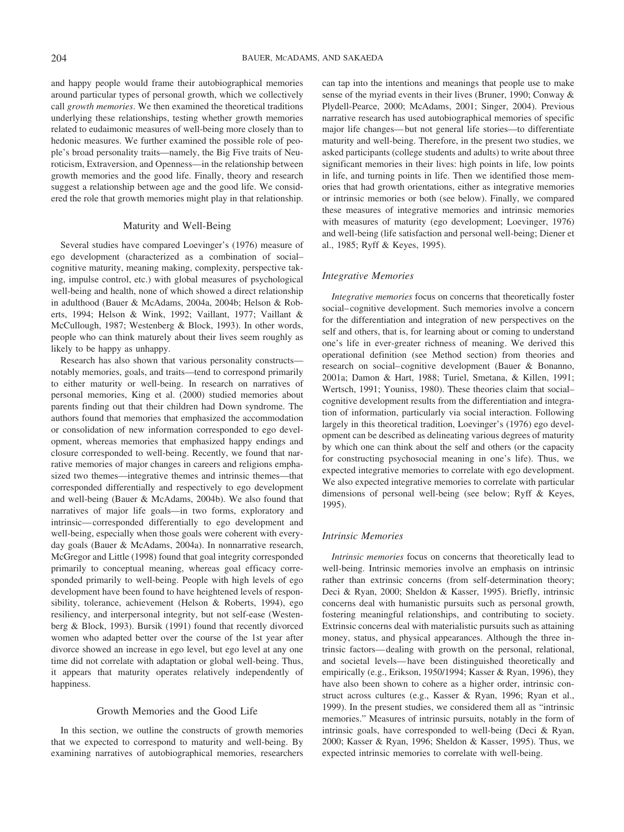and happy people would frame their autobiographical memories around particular types of personal growth, which we collectively call *growth memories*. We then examined the theoretical traditions underlying these relationships, testing whether growth memories related to eudaimonic measures of well-being more closely than to hedonic measures. We further examined the possible role of people's broad personality traits—namely, the Big Five traits of Neuroticism, Extraversion, and Openness—in the relationship between growth memories and the good life. Finally, theory and research suggest a relationship between age and the good life. We considered the role that growth memories might play in that relationship.

### Maturity and Well-Being

Several studies have compared Loevinger's (1976) measure of ego development (characterized as a combination of social– cognitive maturity, meaning making, complexity, perspective taking, impulse control, etc.) with global measures of psychological well-being and health, none of which showed a direct relationship in adulthood (Bauer & McAdams, 2004a, 2004b; Helson & Roberts, 1994; Helson & Wink, 1992; Vaillant, 1977; Vaillant & McCullough, 1987; Westenberg & Block, 1993). In other words, people who can think maturely about their lives seem roughly as likely to be happy as unhappy.

Research has also shown that various personality constructs notably memories, goals, and traits—tend to correspond primarily to either maturity or well-being. In research on narratives of personal memories, King et al. (2000) studied memories about parents finding out that their children had Down syndrome. The authors found that memories that emphasized the accommodation or consolidation of new information corresponded to ego development, whereas memories that emphasized happy endings and closure corresponded to well-being. Recently, we found that narrative memories of major changes in careers and religions emphasized two themes—integrative themes and intrinsic themes—that corresponded differentially and respectively to ego development and well-being (Bauer & McAdams, 2004b). We also found that narratives of major life goals—in two forms, exploratory and intrinsic— corresponded differentially to ego development and well-being, especially when those goals were coherent with everyday goals (Bauer & McAdams, 2004a). In nonnarrative research, McGregor and Little (1998) found that goal integrity corresponded primarily to conceptual meaning, whereas goal efficacy corresponded primarily to well-being. People with high levels of ego development have been found to have heightened levels of responsibility, tolerance, achievement (Helson & Roberts, 1994), ego resiliency, and interpersonal integrity, but not self-ease (Westenberg & Block, 1993). Bursik (1991) found that recently divorced women who adapted better over the course of the 1st year after divorce showed an increase in ego level, but ego level at any one time did not correlate with adaptation or global well-being. Thus, it appears that maturity operates relatively independently of happiness.

# Growth Memories and the Good Life

In this section, we outline the constructs of growth memories that we expected to correspond to maturity and well-being. By examining narratives of autobiographical memories, researchers can tap into the intentions and meanings that people use to make sense of the myriad events in their lives (Bruner, 1990; Conway & Plydell-Pearce, 2000; McAdams, 2001; Singer, 2004). Previous narrative research has used autobiographical memories of specific major life changes— but not general life stories—to differentiate maturity and well-being. Therefore, in the present two studies, we asked participants (college students and adults) to write about three significant memories in their lives: high points in life, low points in life, and turning points in life. Then we identified those memories that had growth orientations, either as integrative memories or intrinsic memories or both (see below). Finally, we compared these measures of integrative memories and intrinsic memories with measures of maturity (ego development; Loevinger, 1976) and well-being (life satisfaction and personal well-being; Diener et al., 1985; Ryff & Keyes, 1995).

### *Integrative Memories*

*Integrative memories* focus on concerns that theoretically foster social– cognitive development. Such memories involve a concern for the differentiation and integration of new perspectives on the self and others, that is, for learning about or coming to understand one's life in ever-greater richness of meaning. We derived this operational definition (see Method section) from theories and research on social– cognitive development (Bauer & Bonanno, 2001a; Damon & Hart, 1988; Turiel, Smetana, & Killen, 1991; Wertsch, 1991; Youniss, 1980). These theories claim that social– cognitive development results from the differentiation and integration of information, particularly via social interaction. Following largely in this theoretical tradition, Loevinger's (1976) ego development can be described as delineating various degrees of maturity by which one can think about the self and others (or the capacity for constructing psychosocial meaning in one's life). Thus, we expected integrative memories to correlate with ego development. We also expected integrative memories to correlate with particular dimensions of personal well-being (see below; Ryff & Keyes, 1995).

### *Intrinsic Memories*

*Intrinsic memories* focus on concerns that theoretically lead to well-being. Intrinsic memories involve an emphasis on intrinsic rather than extrinsic concerns (from self-determination theory; Deci & Ryan, 2000; Sheldon & Kasser, 1995). Briefly, intrinsic concerns deal with humanistic pursuits such as personal growth, fostering meaningful relationships, and contributing to society. Extrinsic concerns deal with materialistic pursuits such as attaining money, status, and physical appearances. Although the three intrinsic factors— dealing with growth on the personal, relational, and societal levels— have been distinguished theoretically and empirically (e.g., Erikson, 1950/1994; Kasser & Ryan, 1996), they have also been shown to cohere as a higher order, intrinsic construct across cultures (e.g., Kasser & Ryan, 1996; Ryan et al., 1999). In the present studies, we considered them all as "intrinsic memories." Measures of intrinsic pursuits, notably in the form of intrinsic goals, have corresponded to well-being (Deci & Ryan, 2000; Kasser & Ryan, 1996; Sheldon & Kasser, 1995). Thus, we expected intrinsic memories to correlate with well-being.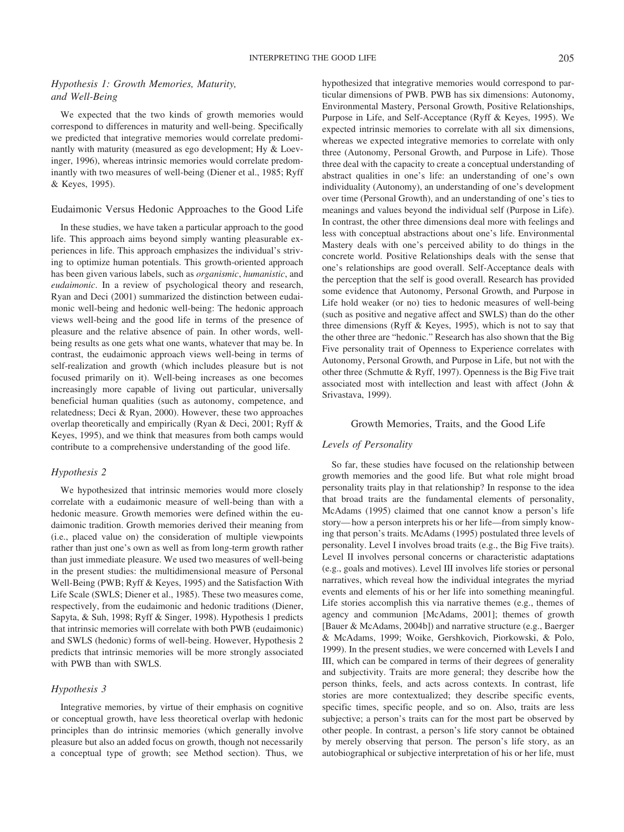# *Hypothesis 1: Growth Memories, Maturity, and Well-Being*

We expected that the two kinds of growth memories would correspond to differences in maturity and well-being. Specifically we predicted that integrative memories would correlate predominantly with maturity (measured as ego development; Hy & Loevinger, 1996), whereas intrinsic memories would correlate predominantly with two measures of well-being (Diener et al., 1985; Ryff & Keyes, 1995).

### Eudaimonic Versus Hedonic Approaches to the Good Life

In these studies, we have taken a particular approach to the good life. This approach aims beyond simply wanting pleasurable experiences in life. This approach emphasizes the individual's striving to optimize human potentials. This growth-oriented approach has been given various labels, such as *organismic*, *humanistic*, and *eudaimonic*. In a review of psychological theory and research, Ryan and Deci (2001) summarized the distinction between eudaimonic well-being and hedonic well-being: The hedonic approach views well-being and the good life in terms of the presence of pleasure and the relative absence of pain. In other words, wellbeing results as one gets what one wants, whatever that may be. In contrast, the eudaimonic approach views well-being in terms of self-realization and growth (which includes pleasure but is not focused primarily on it). Well-being increases as one becomes increasingly more capable of living out particular, universally beneficial human qualities (such as autonomy, competence, and relatedness; Deci & Ryan, 2000). However, these two approaches overlap theoretically and empirically (Ryan & Deci, 2001; Ryff & Keyes, 1995), and we think that measures from both camps would contribute to a comprehensive understanding of the good life.

### *Hypothesis 2*

We hypothesized that intrinsic memories would more closely correlate with a eudaimonic measure of well-being than with a hedonic measure. Growth memories were defined within the eudaimonic tradition. Growth memories derived their meaning from (i.e., placed value on) the consideration of multiple viewpoints rather than just one's own as well as from long-term growth rather than just immediate pleasure. We used two measures of well-being in the present studies: the multidimensional measure of Personal Well-Being (PWB; Ryff & Keyes, 1995) and the Satisfaction With Life Scale (SWLS; Diener et al., 1985). These two measures come, respectively, from the eudaimonic and hedonic traditions (Diener, Sapyta, & Suh, 1998; Ryff & Singer, 1998). Hypothesis 1 predicts that intrinsic memories will correlate with both PWB (eudaimonic) and SWLS (hedonic) forms of well-being. However, Hypothesis 2 predicts that intrinsic memories will be more strongly associated with PWB than with SWLS.

### *Hypothesis 3*

Integrative memories, by virtue of their emphasis on cognitive or conceptual growth, have less theoretical overlap with hedonic principles than do intrinsic memories (which generally involve pleasure but also an added focus on growth, though not necessarily a conceptual type of growth; see Method section). Thus, we hypothesized that integrative memories would correspond to particular dimensions of PWB. PWB has six dimensions: Autonomy, Environmental Mastery, Personal Growth, Positive Relationships, Purpose in Life, and Self-Acceptance (Ryff & Keyes, 1995). We expected intrinsic memories to correlate with all six dimensions, whereas we expected integrative memories to correlate with only three (Autonomy, Personal Growth, and Purpose in Life). Those three deal with the capacity to create a conceptual understanding of abstract qualities in one's life: an understanding of one's own individuality (Autonomy), an understanding of one's development over time (Personal Growth), and an understanding of one's ties to meanings and values beyond the individual self (Purpose in Life). In contrast, the other three dimensions deal more with feelings and less with conceptual abstractions about one's life. Environmental Mastery deals with one's perceived ability to do things in the concrete world. Positive Relationships deals with the sense that one's relationships are good overall. Self-Acceptance deals with the perception that the self is good overall. Research has provided some evidence that Autonomy, Personal Growth, and Purpose in Life hold weaker (or no) ties to hedonic measures of well-being (such as positive and negative affect and SWLS) than do the other three dimensions (Ryff & Keyes, 1995), which is not to say that the other three are "hedonic." Research has also shown that the Big Five personality trait of Openness to Experience correlates with Autonomy, Personal Growth, and Purpose in Life, but not with the other three (Schmutte & Ryff, 1997). Openness is the Big Five trait associated most with intellection and least with affect (John & Srivastava, 1999).

#### Growth Memories, Traits, and the Good Life

### *Levels of Personality*

So far, these studies have focused on the relationship between growth memories and the good life. But what role might broad personality traits play in that relationship? In response to the idea that broad traits are the fundamental elements of personality, McAdams (1995) claimed that one cannot know a person's life story— how a person interprets his or her life—from simply knowing that person's traits. McAdams (1995) postulated three levels of personality. Level I involves broad traits (e.g., the Big Five traits). Level II involves personal concerns or characteristic adaptations (e.g., goals and motives). Level III involves life stories or personal narratives, which reveal how the individual integrates the myriad events and elements of his or her life into something meaningful. Life stories accomplish this via narrative themes (e.g., themes of agency and communion [McAdams, 2001]; themes of growth [Bauer & McAdams, 2004b]) and narrative structure (e.g., Baerger & McAdams, 1999; Woike, Gershkovich, Piorkowski, & Polo, 1999). In the present studies, we were concerned with Levels I and III, which can be compared in terms of their degrees of generality and subjectivity. Traits are more general; they describe how the person thinks, feels, and acts across contexts. In contrast, life stories are more contextualized; they describe specific events, specific times, specific people, and so on. Also, traits are less subjective; a person's traits can for the most part be observed by other people. In contrast, a person's life story cannot be obtained by merely observing that person. The person's life story, as an autobiographical or subjective interpretation of his or her life, must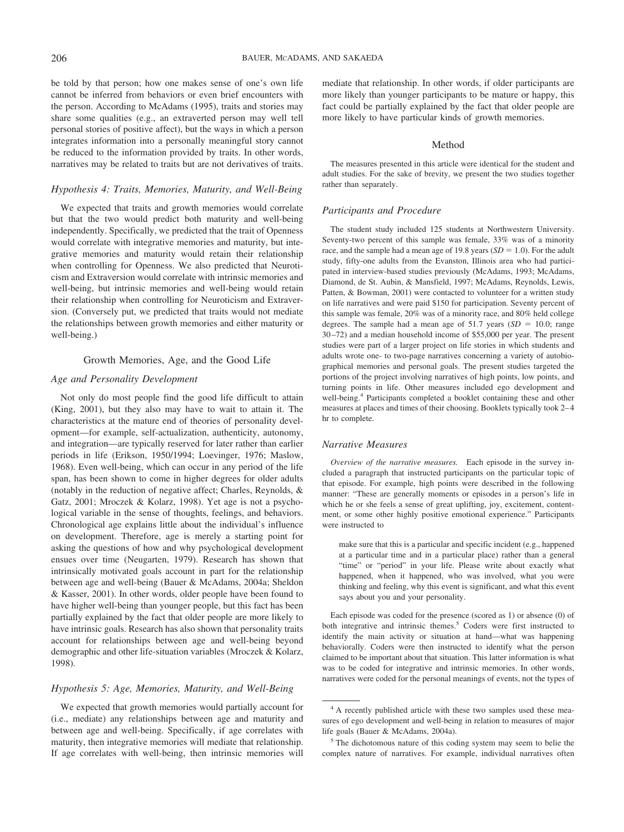be told by that person; how one makes sense of one's own life cannot be inferred from behaviors or even brief encounters with the person. According to McAdams (1995), traits and stories may share some qualities (e.g., an extraverted person may well tell personal stories of positive affect), but the ways in which a person integrates information into a personally meaningful story cannot be reduced to the information provided by traits. In other words, narratives may be related to traits but are not derivatives of traits.

### *Hypothesis 4: Traits, Memories, Maturity, and Well-Being*

We expected that traits and growth memories would correlate but that the two would predict both maturity and well-being independently. Specifically, we predicted that the trait of Openness would correlate with integrative memories and maturity, but integrative memories and maturity would retain their relationship when controlling for Openness. We also predicted that Neuroticism and Extraversion would correlate with intrinsic memories and well-being, but intrinsic memories and well-being would retain their relationship when controlling for Neuroticism and Extraversion. (Conversely put, we predicted that traits would not mediate the relationships between growth memories and either maturity or well-being.)

#### Growth Memories, Age, and the Good Life

### *Age and Personality Development*

Not only do most people find the good life difficult to attain (King, 2001), but they also may have to wait to attain it. The characteristics at the mature end of theories of personality development—for example, self-actualization, authenticity, autonomy, and integration—are typically reserved for later rather than earlier periods in life (Erikson, 1950/1994; Loevinger, 1976; Maslow, 1968). Even well-being, which can occur in any period of the life span, has been shown to come in higher degrees for older adults (notably in the reduction of negative affect; Charles, Reynolds, & Gatz, 2001; Mroczek & Kolarz, 1998). Yet age is not a psychological variable in the sense of thoughts, feelings, and behaviors. Chronological age explains little about the individual's influence on development. Therefore, age is merely a starting point for asking the questions of how and why psychological development ensues over time (Neugarten, 1979). Research has shown that intrinsically motivated goals account in part for the relationship between age and well-being (Bauer & McAdams, 2004a; Sheldon & Kasser, 2001). In other words, older people have been found to have higher well-being than younger people, but this fact has been partially explained by the fact that older people are more likely to have intrinsic goals. Research has also shown that personality traits account for relationships between age and well-being beyond demographic and other life-situation variables (Mroczek & Kolarz, 1998).

#### *Hypothesis 5: Age, Memories, Maturity, and Well-Being*

We expected that growth memories would partially account for (i.e., mediate) any relationships between age and maturity and between age and well-being. Specifically, if age correlates with maturity, then integrative memories will mediate that relationship. If age correlates with well-being, then intrinsic memories will mediate that relationship. In other words, if older participants are more likely than younger participants to be mature or happy, this fact could be partially explained by the fact that older people are more likely to have particular kinds of growth memories.

### Method

The measures presented in this article were identical for the student and adult studies. For the sake of brevity, we present the two studies together rather than separately.

### *Participants and Procedure*

The student study included 125 students at Northwestern University. Seventy-two percent of this sample was female, 33% was of a minority race, and the sample had a mean age of 19.8 years  $(SD = 1.0)$ . For the adult study, fifty-one adults from the Evanston, Illinois area who had participated in interview-based studies previously (McAdams, 1993; McAdams, Diamond, de St. Aubin, & Mansfield, 1997; McAdams, Reynolds, Lewis, Patten, & Bowman, 2001) were contacted to volunteer for a written study on life narratives and were paid \$150 for participation. Seventy percent of this sample was female, 20% was of a minority race, and 80% held college degrees. The sample had a mean age of 51.7 years  $(SD = 10.0;$  range 30 –72) and a median household income of \$55,000 per year. The present studies were part of a larger project on life stories in which students and adults wrote one- to two-page narratives concerning a variety of autobiographical memories and personal goals. The present studies targeted the portions of the project involving narratives of high points, low points, and turning points in life. Other measures included ego development and well-being.4 Participants completed a booklet containing these and other measures at places and times of their choosing. Booklets typically took 2– 4 hr to complete.

### *Narrative Measures*

*Overview of the narrative measures.* Each episode in the survey included a paragraph that instructed participants on the particular topic of that episode. For example, high points were described in the following manner: "These are generally moments or episodes in a person's life in which he or she feels a sense of great uplifting, joy, excitement, contentment, or some other highly positive emotional experience." Participants were instructed to

make sure that this is a particular and specific incident (e.g., happened at a particular time and in a particular place) rather than a general "time" or "period" in your life. Please write about exactly what happened, when it happened, who was involved, what you were thinking and feeling, why this event is significant, and what this event says about you and your personality.

Each episode was coded for the presence (scored as 1) or absence (0) of both integrative and intrinsic themes.<sup>5</sup> Coders were first instructed to identify the main activity or situation at hand—what was happening behaviorally. Coders were then instructed to identify what the person claimed to be important about that situation. This latter information is what was to be coded for integrative and intrinsic memories. In other words, narratives were coded for the personal meanings of events, not the types of

<sup>4</sup> A recently published article with these two samples used these measures of ego development and well-being in relation to measures of major life goals (Bauer & McAdams, 2004a).

<sup>5</sup> The dichotomous nature of this coding system may seem to belie the complex nature of narratives. For example, individual narratives often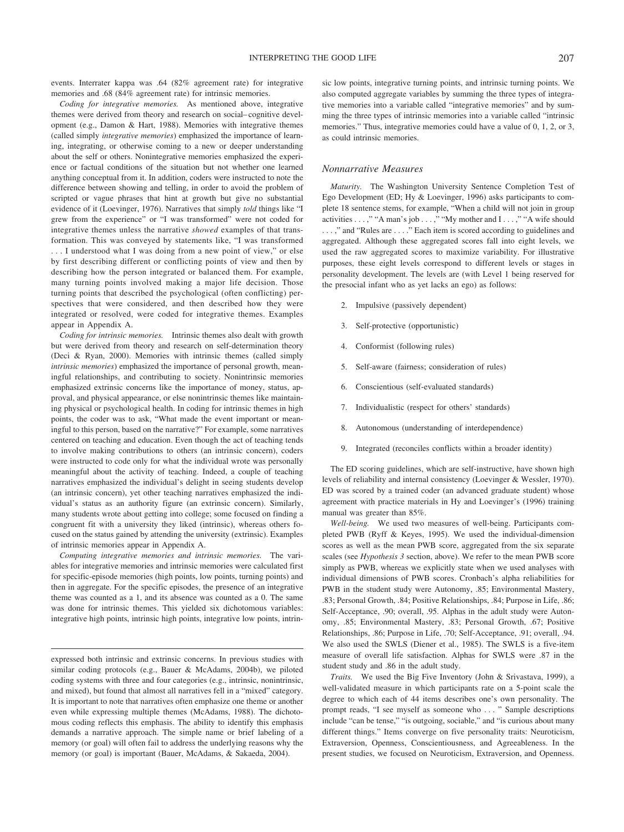events. Interrater kappa was .64 (82% agreement rate) for integrative memories and .68 (84% agreement rate) for intrinsic memories.

*Coding for integrative memories.* As mentioned above, integrative themes were derived from theory and research on social– cognitive development (e.g., Damon & Hart, 1988). Memories with integrative themes (called simply *integrative memories*) emphasized the importance of learning, integrating, or otherwise coming to a new or deeper understanding about the self or others. Nonintegrative memories emphasized the experience or factual conditions of the situation but not whether one learned anything conceptual from it. In addition, coders were instructed to note the difference between showing and telling, in order to avoid the problem of scripted or vague phrases that hint at growth but give no substantial evidence of it (Loevinger, 1976). Narratives that simply *told* things like "I grew from the experience" or "I was transformed" were not coded for integrative themes unless the narrative *showed* examples of that transformation. This was conveyed by statements like, "I was transformed . . . I understood what I was doing from a new point of view," or else by first describing different or conflicting points of view and then by describing how the person integrated or balanced them. For example, many turning points involved making a major life decision. Those turning points that described the psychological (often conflicting) perspectives that were considered, and then described how they were integrated or resolved, were coded for integrative themes. Examples appear in Appendix A.

*Coding for intrinsic memories.* Intrinsic themes also dealt with growth but were derived from theory and research on self-determination theory (Deci & Ryan, 2000). Memories with intrinsic themes (called simply *intrinsic memories*) emphasized the importance of personal growth, meaningful relationships, and contributing to society. Nonintrinsic memories emphasized extrinsic concerns like the importance of money, status, approval, and physical appearance, or else nonintrinsic themes like maintaining physical or psychological health. In coding for intrinsic themes in high points, the coder was to ask, "What made the event important or meaningful to this person, based on the narrative?" For example, some narratives centered on teaching and education. Even though the act of teaching tends to involve making contributions to others (an intrinsic concern), coders were instructed to code only for what the individual wrote was personally meaningful about the activity of teaching. Indeed, a couple of teaching narratives emphasized the individual's delight in seeing students develop (an intrinsic concern), yet other teaching narratives emphasized the individual's status as an authority figure (an extrinsic concern). Similarly, many students wrote about getting into college; some focused on finding a congruent fit with a university they liked (intrinsic), whereas others focused on the status gained by attending the university (extrinsic). Examples of intrinsic memories appear in Appendix A.

*Computing integrative memories and intrinsic memories.* The variables for integrative memories and intrinsic memories were calculated first for specific-episode memories (high points, low points, turning points) and then in aggregate. For the specific episodes, the presence of an integrative theme was counted as a 1, and its absence was counted as a 0. The same was done for intrinsic themes. This yielded six dichotomous variables: integrative high points, intrinsic high points, integrative low points, intrinsic low points, integrative turning points, and intrinsic turning points. We also computed aggregate variables by summing the three types of integrative memories into a variable called "integrative memories" and by summing the three types of intrinsic memories into a variable called "intrinsic memories." Thus, integrative memories could have a value of 0, 1, 2, or 3, as could intrinsic memories.

#### *Nonnarrative Measures*

*Maturity.* The Washington University Sentence Completion Test of Ego Development (ED; Hy & Loevinger, 1996) asks participants to complete 18 sentence stems, for example, "When a child will not join in group activities . . . ," "A man's job . . . ," "My mother and I . . . ," "A wife should . . . ," and "Rules are . . . ." Each item is scored according to guidelines and aggregated. Although these aggregated scores fall into eight levels, we used the raw aggregated scores to maximize variability. For illustrative purposes, these eight levels correspond to different levels or stages in personality development. The levels are (with Level 1 being reserved for the presocial infant who as yet lacks an ego) as follows:

- 2. Impulsive (passively dependent)
- 3. Self-protective (opportunistic)
- Conformist (following rules)
- 5. Self-aware (fairness; consideration of rules)
- 6. Conscientious (self-evaluated standards)
- 7. Individualistic (respect for others' standards)
- 8. Autonomous (understanding of interdependence)
- 9. Integrated (reconciles conflicts within a broader identity)

The ED scoring guidelines, which are self-instructive, have shown high levels of reliability and internal consistency (Loevinger & Wessler, 1970). ED was scored by a trained coder (an advanced graduate student) whose agreement with practice materials in Hy and Loevinger's (1996) training manual was greater than 85%.

*Well-being.* We used two measures of well-being. Participants completed PWB (Ryff & Keyes, 1995). We used the individual-dimension scores as well as the mean PWB score, aggregated from the six separate scales (see *Hypothesis 3* section, above). We refer to the mean PWB score simply as PWB, whereas we explicitly state when we used analyses with individual dimensions of PWB scores. Cronbach's alpha reliabilities for PWB in the student study were Autonomy, .85; Environmental Mastery, .83; Personal Growth, .84; Positive Relationships, .84; Purpose in Life, .86; Self-Acceptance, .90; overall, .95. Alphas in the adult study were Autonomy, .85; Environmental Mastery, .83; Personal Growth, .67; Positive Relationships, .86; Purpose in Life, .70; Self-Acceptance, .91; overall, .94. We also used the SWLS (Diener et al., 1985). The SWLS is a five-item measure of overall life satisfaction. Alphas for SWLS were .87 in the student study and .86 in the adult study.

*Traits.* We used the Big Five Inventory (John & Srivastava, 1999), a well-validated measure in which participants rate on a 5-point scale the degree to which each of 44 items describes one's own personality. The prompt reads, "I see myself as someone who . . . " Sample descriptions include "can be tense," "is outgoing, sociable," and "is curious about many different things." Items converge on five personality traits: Neuroticism, Extraversion, Openness, Conscientiousness, and Agreeableness. In the present studies, we focused on Neuroticism, Extraversion, and Openness.

expressed both intrinsic and extrinsic concerns. In previous studies with similar coding protocols (e.g., Bauer & McAdams, 2004b), we piloted coding systems with three and four categories (e.g., intrinsic, nonintrinsic, and mixed), but found that almost all narratives fell in a "mixed" category. It is important to note that narratives often emphasize one theme or another even while expressing multiple themes (McAdams, 1988). The dichotomous coding reflects this emphasis. The ability to identify this emphasis demands a narrative approach. The simple name or brief labeling of a memory (or goal) will often fail to address the underlying reasons why the memory (or goal) is important (Bauer, McAdams, & Sakaeda, 2004).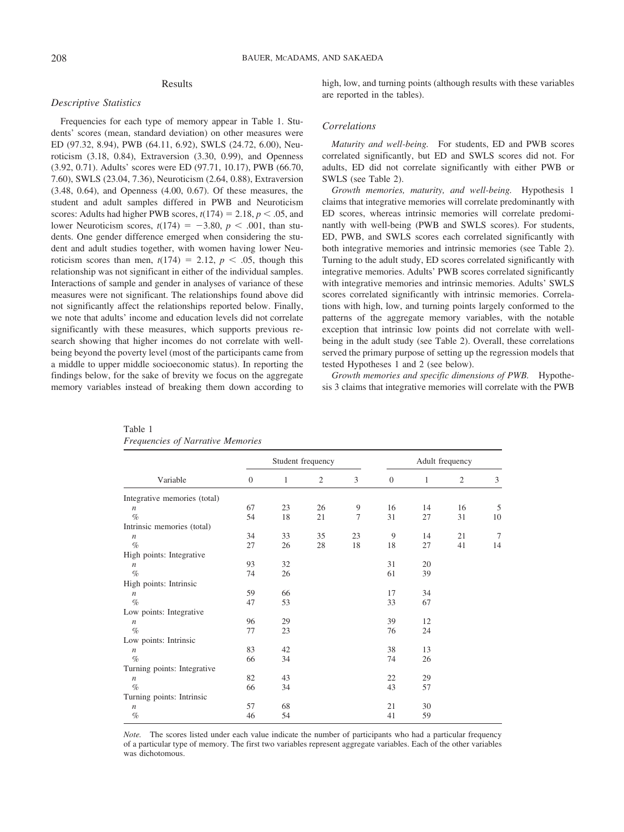# Results

### *Descriptive Statistics*

Frequencies for each type of memory appear in Table 1. Students' scores (mean, standard deviation) on other measures were ED (97.32, 8.94), PWB (64.11, 6.92), SWLS (24.72, 6.00), Neuroticism (3.18, 0.84), Extraversion (3.30, 0.99), and Openness (3.92, 0.71). Adults' scores were ED (97.71, 10.17), PWB (66.70, 7.60), SWLS (23.04, 7.36), Neuroticism (2.64, 0.88), Extraversion (3.48, 0.64), and Openness (4.00, 0.67). Of these measures, the student and adult samples differed in PWB and Neuroticism scores: Adults had higher PWB scores,  $t(174) = 2.18$ ,  $p < .05$ , and lower Neuroticism scores,  $t(174) = -3.80$ ,  $p < .001$ , than students. One gender difference emerged when considering the student and adult studies together, with women having lower Neuroticism scores than men,  $t(174) = 2.12$ ,  $p < .05$ , though this relationship was not significant in either of the individual samples. Interactions of sample and gender in analyses of variance of these measures were not significant. The relationships found above did not significantly affect the relationships reported below. Finally, we note that adults' income and education levels did not correlate significantly with these measures, which supports previous research showing that higher incomes do not correlate with wellbeing beyond the poverty level (most of the participants came from a middle to upper middle socioeconomic status). In reporting the findings below, for the sake of brevity we focus on the aggregate memory variables instead of breaking them down according to high, low, and turning points (although results with these variables are reported in the tables).

### *Correlations*

*Maturity and well-being.* For students, ED and PWB scores correlated significantly, but ED and SWLS scores did not. For adults, ED did not correlate significantly with either PWB or SWLS (see Table 2).

*Growth memories, maturity, and well-being.* Hypothesis 1 claims that integrative memories will correlate predominantly with ED scores, whereas intrinsic memories will correlate predominantly with well-being (PWB and SWLS scores). For students, ED, PWB, and SWLS scores each correlated significantly with both integrative memories and intrinsic memories (see Table 2). Turning to the adult study, ED scores correlated significantly with integrative memories. Adults' PWB scores correlated significantly with integrative memories and intrinsic memories. Adults' SWLS scores correlated significantly with intrinsic memories. Correlations with high, low, and turning points largely conformed to the patterns of the aggregate memory variables, with the notable exception that intrinsic low points did not correlate with wellbeing in the adult study (see Table 2). Overall, these correlations served the primary purpose of setting up the regression models that tested Hypotheses 1 and 2 (see below).

*Growth memories and specific dimensions of PWB.* Hypothesis 3 claims that integrative memories will correlate with the PWB

|                              |          |    | Student frequency |                |          |    | Adult frequency |                |
|------------------------------|----------|----|-------------------|----------------|----------|----|-----------------|----------------|
| Variable                     | $\theta$ | 1  | $\overline{c}$    | 3              | $\theta$ | 1  | $\overline{2}$  | 3              |
| Integrative memories (total) |          |    |                   |                |          |    |                 |                |
| $\boldsymbol{n}$             | 67       | 23 | 26                | 9              | 16       | 14 | 16              | 5              |
| $\%$                         | 54       | 18 | 21                | $\overline{7}$ | 31       | 27 | 31              | 10             |
| Intrinsic memories (total)   |          |    |                   |                |          |    |                 |                |
| $\boldsymbol{n}$             | 34       | 33 | 35                | 23             | 9        | 14 | 21              | $\overline{7}$ |
| $\%$                         | 27       | 26 | 28                | 18             | 18       | 27 | 41              | 14             |
| High points: Integrative     |          |    |                   |                |          |    |                 |                |
| $\boldsymbol{n}$             | 93       | 32 |                   |                | 31       | 20 |                 |                |
| $\%$                         | 74       | 26 |                   |                | 61       | 39 |                 |                |
| High points: Intrinsic       |          |    |                   |                |          |    |                 |                |
| $\boldsymbol{n}$             | 59       | 66 |                   |                | 17       | 34 |                 |                |
| $\%$                         | 47       | 53 |                   |                | 33       | 67 |                 |                |
| Low points: Integrative      |          |    |                   |                |          |    |                 |                |
| $\boldsymbol{n}$             | 96       | 29 |                   |                | 39       | 12 |                 |                |
| $\%$                         | 77       | 23 |                   |                | 76       | 24 |                 |                |
| Low points: Intrinsic        |          |    |                   |                |          |    |                 |                |
| $\boldsymbol{n}$             | 83       | 42 |                   |                | 38       | 13 |                 |                |
| $\%$                         | 66       | 34 |                   |                | 74       | 26 |                 |                |
| Turning points: Integrative  |          |    |                   |                |          |    |                 |                |
| $\boldsymbol{n}$             | 82       | 43 |                   |                | 22       | 29 |                 |                |
| $\%$                         | 66       | 34 |                   |                | 43       | 57 |                 |                |
| Turning points: Intrinsic    |          |    |                   |                |          |    |                 |                |
| $\boldsymbol{n}$             | 57       | 68 |                   |                | 21       | 30 |                 |                |
| $\%$                         | 46       | 54 |                   |                | 41       | 59 |                 |                |

Table 1 *Frequencies of Narrative Memories*

*Note.* The scores listed under each value indicate the number of participants who had a particular frequency of a particular type of memory. The first two variables represent aggregate variables. Each of the other variables was dichotomous.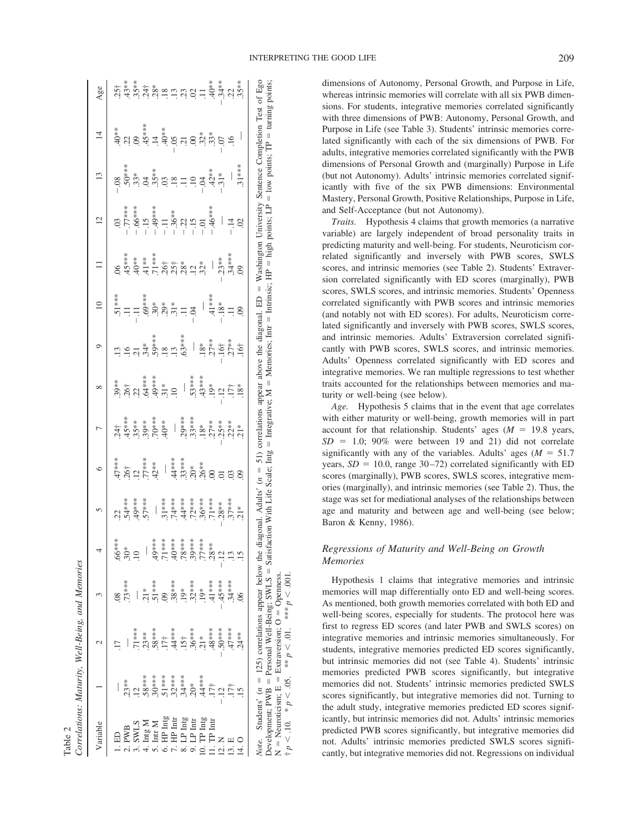| Variable                                                                  |          |                                                                                                                                                                                                                                        |               |                   | 5                                                                       | $\circ$                 | Γ | ${}^{\circ}$                                                                                                                                                                                                                                                                                                                                                                                            | Q                                                         | $\supseteq$                              | Ξ                        | $\overline{c}$                                                                                                                                 | 13       | $\overline{4}$                                                                                                                                                                                                                                                                                                                               | Age |
|---------------------------------------------------------------------------|----------|----------------------------------------------------------------------------------------------------------------------------------------------------------------------------------------------------------------------------------------|---------------|-------------------|-------------------------------------------------------------------------|-------------------------|---|---------------------------------------------------------------------------------------------------------------------------------------------------------------------------------------------------------------------------------------------------------------------------------------------------------------------------------------------------------------------------------------------------------|-----------------------------------------------------------|------------------------------------------|--------------------------|------------------------------------------------------------------------------------------------------------------------------------------------|----------|----------------------------------------------------------------------------------------------------------------------------------------------------------------------------------------------------------------------------------------------------------------------------------------------------------------------------------------------|-----|
|                                                                           |          |                                                                                                                                                                                                                                        |               |                   |                                                                         |                         |   |                                                                                                                                                                                                                                                                                                                                                                                                         |                                                           |                                          |                          |                                                                                                                                                |          |                                                                                                                                                                                                                                                                                                                                              |     |
|                                                                           |          |                                                                                                                                                                                                                                        |               | $* *$<br>\$\$     | 22                                                                      | 47***<br>.26†<br>.12*** |   |                                                                                                                                                                                                                                                                                                                                                                                                         |                                                           |                                          | $\frac{8}{2}$            |                                                                                                                                                |          |                                                                                                                                                                                                                                                                                                                                              |     |
| 2. PWB                                                                    | $.23**$  |                                                                                                                                                                                                                                        | 73****        | $30*$             |                                                                         |                         |   |                                                                                                                                                                                                                                                                                                                                                                                                         |                                                           |                                          | $45***$                  |                                                                                                                                                |          |                                                                                                                                                                                                                                                                                                                                              |     |
| SANTS.                                                                    |          | .71****                                                                                                                                                                                                                                |               | $\overline{10}$   | $54**$                                                                  |                         |   |                                                                                                                                                                                                                                                                                                                                                                                                         |                                                           |                                          |                          |                                                                                                                                                |          |                                                                                                                                                                                                                                                                                                                                              |     |
| . Intg $N$                                                                | $.58***$ | $.23**$                                                                                                                                                                                                                                |               |                   |                                                                         |                         |   |                                                                                                                                                                                                                                                                                                                                                                                                         |                                                           |                                          |                          |                                                                                                                                                |          |                                                                                                                                                                                                                                                                                                                                              |     |
| . Intr $M$                                                                | $.30***$ | $.58***$                                                                                                                                                                                                                               | $.51***$      |                   |                                                                         | $.42**$                 |   |                                                                                                                                                                                                                                                                                                                                                                                                         |                                                           |                                          |                          |                                                                                                                                                |          |                                                                                                                                                                                                                                                                                                                                              |     |
|                                                                           | $.51***$ | $.17+$                                                                                                                                                                                                                                 |               | $* *$<br>$5.71**$ |                                                                         |                         |   |                                                                                                                                                                                                                                                                                                                                                                                                         |                                                           |                                          |                          |                                                                                                                                                |          |                                                                                                                                                                                                                                                                                                                                              |     |
| $\overline{H}$ . He late                                                  | $.32***$ | $.44*$                                                                                                                                                                                                                                 | $.38***$      | $* *$             |                                                                         |                         |   |                                                                                                                                                                                                                                                                                                                                                                                                         |                                                           |                                          |                          |                                                                                                                                                |          |                                                                                                                                                                                                                                                                                                                                              |     |
| $LP$ $Intf$                                                               | $.34***$ | $.15+$                                                                                                                                                                                                                                 | $19*$         | $* *$<br>587.     | $57.$ $57.$ $57.$ $57.$ $57.$ $57.$ $57.$ $57.$ $57.$ $57.$ $57.$ $57.$ |                         |   |                                                                                                                                                                                                                                                                                                                                                                                                         |                                                           |                                          |                          | $\begin{array}{r} .03 \\ -.77*** \\ -.66*** \\ -.66*** \\ -.49*** \\ -.155*** \\ -.19*** \\ -.19*** \\ -.22-.1.5-.1.5-.1.5-.46*** \end{array}$ |          | $\ddot{q} \ddot{q} \ddot{q} \ddot{q} \ddot{q} \ddot{q} \ddot{q} \ddot{q} \ddot{q} \ddot{q} \ddot{q} \ddot{q} \ddot{q} \ddot{q} \ddot{q} \ddot{q} \ddot{q} \ddot{q} \ddot{q} \ddot{q} \ddot{q} \ddot{q} \ddot{q} \ddot{q} \ddot{q} \ddot{q} \ddot{q} \ddot{q} \ddot{q} \ddot{q} \ddot{q} \ddot{q} \ddot{q} \ddot{q} \ddot{q} \ddot{q} \ddot{$ |     |
| $LP$ Int                                                                  | $.20*$   | $.36***$                                                                                                                                                                                                                               | $.32***$      | $* *$<br>$.39**$  |                                                                         |                         |   |                                                                                                                                                                                                                                                                                                                                                                                                         |                                                           |                                          |                          |                                                                                                                                                |          |                                                                                                                                                                                                                                                                                                                                              |     |
| $10.$ TP $Intf$                                                           | .44***   | $21*$                                                                                                                                                                                                                                  | $.19*$        | $*$<br>$.77$ **   |                                                                         |                         |   |                                                                                                                                                                                                                                                                                                                                                                                                         |                                                           | $\begin{array}{c} \hline \end{array}$    |                          |                                                                                                                                                |          |                                                                                                                                                                                                                                                                                                                                              |     |
| $1.$ TP $\text{Int}$                                                      | $.17+$   | $.48***$                                                                                                                                                                                                                               | $.41***$      | ų.<br>$.28**$     |                                                                         |                         |   |                                                                                                                                                                                                                                                                                                                                                                                                         |                                                           |                                          | $\overline{\phantom{a}}$ |                                                                                                                                                |          |                                                                                                                                                                                                                                                                                                                                              |     |
|                                                                           |          | $50***$                                                                                                                                                                                                                                | $45***$       |                   |                                                                         |                         |   |                                                                                                                                                                                                                                                                                                                                                                                                         |                                                           |                                          |                          |                                                                                                                                                |          |                                                                                                                                                                                                                                                                                                                                              |     |
|                                                                           |          | $47***$                                                                                                                                                                                                                                | 34****        |                   | $.37***$                                                                |                         |   | $\begin{array}{cccc}\n\ddot{3} & \dot{x} & \dot{x} & \dot{x} & \dot{x} \\ \ddot{3} & \dot{4} & \dot{5} & \dot{x} & \dot{x} & \dot{x} \\ \ddot{5} & \dot{6} & \dot{3} & \dot{5} & \dot{6} & \dot{7} \\ \dot{7} & \dot{8} & \dot{9} & \dot{7} & \dot{7} \\ \dot{8} & \dot{9} & \dot{1} & \dot{1} & \dot{1} \\ \dot{1} & \dot{1} & \dot{1} & \dot{1} & \dot{1} \\ \dot{1} & \dot{1} & \dot{1} & \dot{1} &$ | $\frac{18}{137}$<br>$\frac{37}{157}$<br>$\frac{167}{107}$ | $-18$ <sup>***</sup><br>-18 <sup>*</sup> | $-33***$                 | $\frac{1}{4}$                                                                                                                                  |          |                                                                                                                                                                                                                                                                                                                                              |     |
| 14. O                                                                     |          | $.24**$                                                                                                                                                                                                                                | $\frac{6}{2}$ |                   | $21*$                                                                   | 60                      |   | $.18\,^*$                                                                                                                                                                                                                                                                                                                                                                                               |                                                           | $\odot$                                  | $\odot$                  | $\overline{0}$                                                                                                                                 | $.31***$ | $\overline{\phantom{a}}$                                                                                                                                                                                                                                                                                                                     |     |
| <i>Note.</i> Students' $(n = 125)$ correlations appear below the $\alpha$ |          | Note. Sudents' ( $n = 125$ ) correlations appear below the diagonal. Adults' ( $n = 51$ ) correlations appear above the diagonal. ED = Washington University Sentence Completion Test of Ego<br>Development; PWB = Personal Well-Being |               |                   | diagonal. Adults' $(n =$                                                |                         |   |                                                                                                                                                                                                                                                                                                                                                                                                         |                                                           |                                          |                          |                                                                                                                                                |          |                                                                                                                                                                                                                                                                                                                                              |     |
| $N = Neuroticism; E = Extraversion; O = Opemness.$                        |          |                                                                                                                                                                                                                                        |               |                   |                                                                         |                         |   |                                                                                                                                                                                                                                                                                                                                                                                                         |                                                           |                                          |                          |                                                                                                                                                |          |                                                                                                                                                                                                                                                                                                                                              |     |
|                                                                           |          | $\frac{1}{2}p < 10.$ * $p < .05.$ ** $p < .01.$ *** $p < .001$                                                                                                                                                                         |               |                   |                                                                         |                         |   |                                                                                                                                                                                                                                                                                                                                                                                                         |                                                           |                                          |                          |                                                                                                                                                |          |                                                                                                                                                                                                                                                                                                                                              |     |

Table 2

dimensions of Autonomy, Personal Growth, and Purpose in Life, whereas intrinsic memories will correlate with all six PWB dimensions. For students, integrative memories correlated significantly with three dimensions of PWB: Autonomy, Personal Growth, and Purpose in Life (see Table 3). Students' intrinsic memories correlated significantly with each of the six dimensions of PWB. For adults, integrative memories correlated significantly with the PWB dimensions of Personal Growth and (marginally) Purpose in Life (but not Autonomy). Adults' intrinsic memories correlated significantly with five of the six PWB dimensions: Environmental Mastery, Personal Growth, Positive Relationships, Purpose in Life, and Self-Acceptance (but not Autonomy).

*Traits.* Hypothesis 4 claims that growth memories (a narrative variable) are largely independent of broad personality traits in predicting maturity and well-being. For students, Neuroticism correlated significantly and inversely with PWB scores, SWLS scores, and intrinsic memories (see Table 2). Students' Extraversion correlated significantly with ED scores (marginally), PWB scores, SWLS scores, and intrinsic memories. Students' Openness correlated significantly with PWB scores and intrinsic memories (and notably not with ED scores). For adults, Neuroticism correlated significantly and inversely with PWB scores, SWLS scores, and intrinsic memories. Adults' Extraversion correlated significantly with PWB scores, SWLS scores, and intrinsic memories. Adults' Openness correlated significantly with ED scores and integrative memories. We ran multiple regressions to test whether traits accounted for the relationships between memories and maturity or well-being (see below).

*Age.* Hypothesis 5 claims that in the event that age correlates with either maturity or well-being, growth memories will in part account for that relationship. Students' ages  $(M = 19.8$  years,  $SD = 1.0$ ; 90% were between 19 and 21) did not correlate significantly with any of the variables. Adults' ages ( $M = 51.7$ ) years,  $SD = 10.0$ , range  $30-72$ ) correlated significantly with ED scores (marginally), PWB scores, SWLS scores, integrative memories (marginally), and intrinsic memories (see Table 2). Thus, the stage was set for mediational analyses of the relationships between age and maturity and between age and well-being (see below; Baron & Kenny, 1986).

# *Regressions of Maturity and Well-Being on Growth Memories*

Hypothesis 1 claims that integrative memories and intrinsic memories will map differentially onto ED and well-being scores. As mentioned, both growth memories correlated with both ED and well-being scores, especially for students. The protocol here was first to regress ED scores (and later PWB and SWLS scores) on integrative memories and intrinsic memories simultaneously. For students, integrative memories predicted ED scores significantly, but intrinsic memories did not (see Table 4). Students' intrinsic memories predicted PWB scores significantly, but integrative memories did not. Students' intrinsic memories predicted SWLS scores significantly, but integrative memories did not. Turning to the adult study, integrative memories predicted ED scores significantly, but intrinsic memories did not. Adults' intrinsic memories predicted PWB scores significantly, but integrative memories did not. Adults' intrinsic memories predicted SWLS scores significantly, but integrative memories did not. Regressions on individual

 $< 10.$  \*  $p <$ 

 $< 0.05$ . \*\* *p*  $<$ 

 $< 0.01$ . \*\*\* *p*  $<$ \*\*  $p < .01$ . \*\*\*  $p < .001$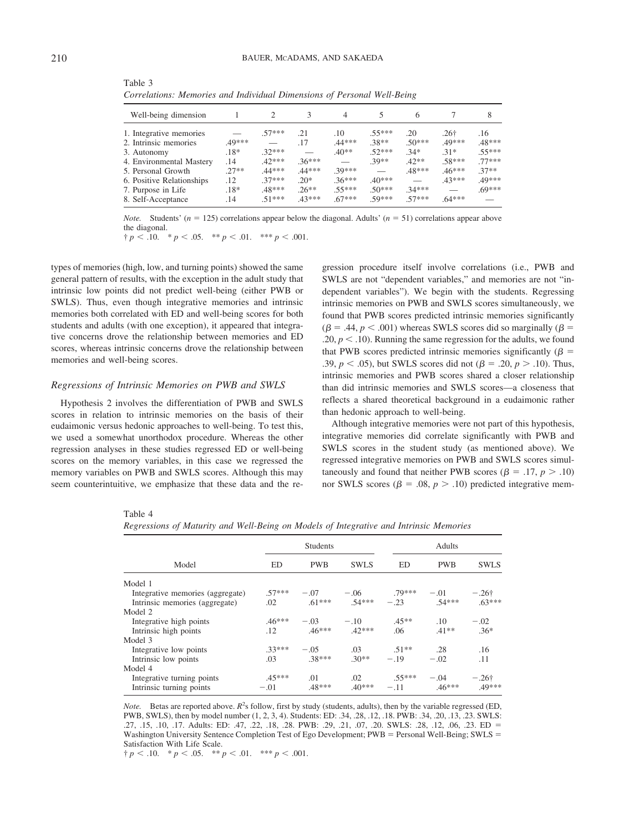| Well-being dimension      |         |          |          | 4        |          | 6        |                  | 8        |
|---------------------------|---------|----------|----------|----------|----------|----------|------------------|----------|
| 1. Integrative memories   |         | 57***    | .21      | .10      | $.55***$ | .20      | .26 <sup>†</sup> | .16      |
| 2. Intrinsic memories     | .49***  |          | .17      | .44***   | $.38**$  | $.50***$ | .49***           | .48***   |
| 3. Autonomy               | $.18*$  | $32***$  |          | $.40**$  | $.52***$ | $.34*$   | $.31*$           | 55***    |
| 4. Environmental Mastery  | .14     | $42***$  | $.36***$ |          | 39**     | $42**$   | .58***           | $.77***$ |
| 5. Personal Growth        | $.27**$ | $.44***$ | .44***   | 39***    |          | .48***   | $.46***$         | $37**$   |
| 6. Positive Relationships | $.12\,$ | $37***$  | $20*$    | $.36***$ | $.40***$ |          | $43***$          | 49***    |
| 7. Purpose in Life        | $.18*$  | .48***   | $.26**$  | 55***    | $.50***$ | $.34***$ |                  | $.69***$ |
| 8. Self-Acceptance        | .14     | $.51***$ | .43***   | 67***    | 50***    | $57***$  | $.64***$         |          |
|                           |         |          |          |          |          |          |                  |          |

Table 3 *Correlations: Memories and Individual Dimensions of Personal Well-Being*

*Note.* Students' ( $n = 125$ ) correlations appear below the diagonal. Adults' ( $n = 51$ ) correlations appear above the diagonal.

 $\dagger p < .10.$   $\ast p < .05.$   $\ast \ast p < .01.$   $\ast \ast \ast p < .001.$ 

types of memories (high, low, and turning points) showed the same general pattern of results, with the exception in the adult study that intrinsic low points did not predict well-being (either PWB or SWLS). Thus, even though integrative memories and intrinsic memories both correlated with ED and well-being scores for both students and adults (with one exception), it appeared that integrative concerns drove the relationship between memories and ED scores, whereas intrinsic concerns drove the relationship between memories and well-being scores.

### *Regressions of Intrinsic Memories on PWB and SWLS*

Hypothesis 2 involves the differentiation of PWB and SWLS scores in relation to intrinsic memories on the basis of their eudaimonic versus hedonic approaches to well-being. To test this, we used a somewhat unorthodox procedure. Whereas the other regression analyses in these studies regressed ED or well-being scores on the memory variables, in this case we regressed the memory variables on PWB and SWLS scores. Although this may seem counterintuitive, we emphasize that these data and the regression procedure itself involve correlations (i.e., PWB and SWLS are not "dependent variables," and memories are not "independent variables"). We begin with the students. Regressing intrinsic memories on PWB and SWLS scores simultaneously, we found that PWB scores predicted intrinsic memories significantly  $(\beta = .44, p < .001)$  whereas SWLS scores did so marginally ( $\beta =$  $.20, p < .10$ ). Running the same regression for the adults, we found that PWB scores predicted intrinsic memories significantly  $(\beta =$ .39,  $p < .05$ ), but SWLS scores did not ( $\beta = .20, p > .10$ ). Thus, intrinsic memories and PWB scores shared a closer relationship than did intrinsic memories and SWLS scores—a closeness that reflects a shared theoretical background in a eudaimonic rather than hedonic approach to well-being.

Although integrative memories were not part of this hypothesis, integrative memories did correlate significantly with PWB and SWLS scores in the student study (as mentioned above). We regressed integrative memories on PWB and SWLS scores simultaneously and found that neither PWB scores ( $\beta$  = .17,  $p$  > .10) nor SWLS scores ( $\beta = .08$ ,  $p > .10$ ) predicted integrative mem-

|--|--|

*Regressions of Maturity and Well-Being on Models of Integrative and Intrinsic Memories*

|                                  | <b>Students</b> |            |             |          | Adults     |               |  |  |
|----------------------------------|-----------------|------------|-------------|----------|------------|---------------|--|--|
| Model                            | ED              | <b>PWB</b> | <b>SWLS</b> | ED       | <b>PWB</b> | <b>SWLS</b>   |  |  |
| Model 1                          |                 |            |             |          |            |               |  |  |
| Integrative memories (aggregate) | $.57***$        | $-.07$     | $-.06$      | $.79***$ | $-.01$     | $-.26\dagger$ |  |  |
| Intrinsic memories (aggregate)   | .02             | $.61***$   | $.54***$    | $-.23$   | $54***$    | $.63***$      |  |  |
| Model 2                          |                 |            |             |          |            |               |  |  |
| Integrative high points          | $.46***$        | $-.03$     | $-.10$      | $.45**$  | .10        | $-.02$        |  |  |
| Intrinsic high points            | .12             | $.46***$   | $.42***$    | .06      | $.41**$    | $.36*$        |  |  |
| Model 3                          |                 |            |             |          |            |               |  |  |
| Integrative low points           | $.33***$        | $-.05$     | .03         | $.51***$ | .28        | .16           |  |  |
| Intrinsic low points             | .03             | .38***     | $.30**$     | $-.19$   | $-.02$     | .11           |  |  |
| Model 4                          |                 |            |             |          |            |               |  |  |
| Integrative turning points       | $.45***$        | .01        | .02         | $.55***$ | $-.04$     | $-.26\dagger$ |  |  |
| Intrinsic turning points         | $-.01$          | .48***     | $.40***$    | $-.11$   | $.46***$   | 49***         |  |  |

*Note.* Betas are reported above.  $R^2$ s follow, first by study (students, adults), then by the variable regressed (ED, PWB, SWLS), then by model number (1, 2, 3, 4). Students: ED: .34, .28, .12, .18. PWB: .34, .20, .13, .23. SWLS: .27, .15, .10, .17. Adults: ED: .47, .22, .18, .28. PWB: .29, .21, .07, .20. SWLS: .28, .12, .06, .23. ED Washington University Sentence Completion Test of Ego Development; PWB = Personal Well-Being; SWLS = Satisfaction With Life Scale.

 $\dagger p < .10.$  \*  $p < .05.$  \*\*  $p < .01.$  \*\*\*  $p < .001.$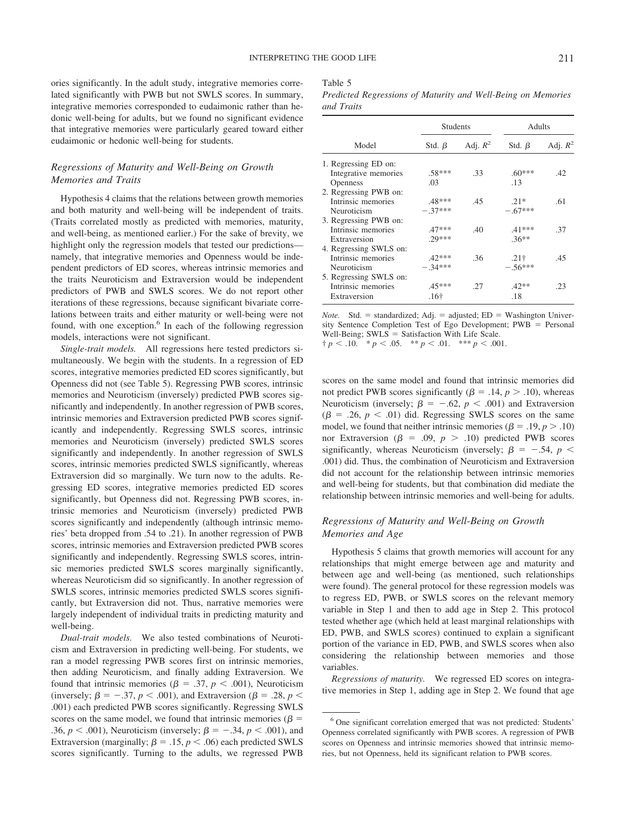ories significantly. In the adult study, integrative memories correlated significantly with PWB but not SWLS scores. In summary, integrative memories corresponded to eudaimonic rather than hedonic well-being for adults, but we found no significant evidence that integrative memories were particularly geared toward either eudaimonic or hedonic well-being for students.

# *Regressions of Maturity and Well-Being on Growth Memories and Traits*

Hypothesis 4 claims that the relations between growth memories and both maturity and well-being will be independent of traits. (Traits correlated mostly as predicted with memories, maturity, and well-being, as mentioned earlier.) For the sake of brevity, we highlight only the regression models that tested our predictions namely, that integrative memories and Openness would be independent predictors of ED scores, whereas intrinsic memories and the traits Neuroticism and Extraversion would be independent predictors of PWB and SWLS scores. We do not report other iterations of these regressions, because significant bivariate correlations between traits and either maturity or well-being were not found, with one exception.<sup>6</sup> In each of the following regression models, interactions were not significant.

*Single-trait models.* All regressions here tested predictors simultaneously. We begin with the students. In a regression of ED scores, integrative memories predicted ED scores significantly, but Openness did not (see Table 5). Regressing PWB scores, intrinsic memories and Neuroticism (inversely) predicted PWB scores significantly and independently. In another regression of PWB scores, intrinsic memories and Extraversion predicted PWB scores significantly and independently. Regressing SWLS scores, intrinsic memories and Neuroticism (inversely) predicted SWLS scores significantly and independently. In another regression of SWLS scores, intrinsic memories predicted SWLS significantly, whereas Extraversion did so marginally. We turn now to the adults. Regressing ED scores, integrative memories predicted ED scores significantly, but Openness did not. Regressing PWB scores, intrinsic memories and Neuroticism (inversely) predicted PWB scores significantly and independently (although intrinsic memories' beta dropped from .54 to .21). In another regression of PWB scores, intrinsic memories and Extraversion predicted PWB scores significantly and independently. Regressing SWLS scores, intrinsic memories predicted SWLS scores marginally significantly, whereas Neuroticism did so significantly. In another regression of SWLS scores, intrinsic memories predicted SWLS scores significantly, but Extraversion did not. Thus, narrative memories were largely independent of individual traits in predicting maturity and well-being.

*Dual-trait models.* We also tested combinations of Neuroticism and Extraversion in predicting well-being. For students, we ran a model regressing PWB scores first on intrinsic memories, then adding Neuroticism, and finally adding Extraversion. We found that intrinsic memories ( $\beta = .37$ ,  $p < .001$ ), Neuroticism (inversely;  $\beta = -.37, p < .001$ ), and Extraversion ( $\beta = .28, p <$ .001) each predicted PWB scores significantly. Regressing SWLS scores on the same model, we found that intrinsic memories ( $\beta$  = .36,  $p < .001$ ), Neuroticism (inversely;  $\beta = -.34, p < .001$ ), and Extraversion (marginally;  $\beta = .15$ ,  $p < .06$ ) each predicted SWLS scores significantly. Turning to the adults, we regressed PWB

### Table 5

*Predicted Regressions of Maturity and Well-Being on Memories and Traits*

|                        | <b>Students</b> |            |              | Adults     |  |  |
|------------------------|-----------------|------------|--------------|------------|--|--|
| Model                  | Std. $\beta$    | Adj. $R^2$ | Std. $\beta$ | Adj. $R^2$ |  |  |
| 1. Regressing ED on:   |                 |            |              |            |  |  |
| Integrative memories   | $.58***$        | .33        | $.60***$     | .42        |  |  |
| <b>Openness</b>        | .03             |            | .13          |            |  |  |
| 2. Regressing PWB on:  |                 |            |              |            |  |  |
| Intrinsic memories     | $.48***$        | .45        | $21*$        | .61        |  |  |
| Neuroticism            | $-.37***$       |            | $-.67***$    |            |  |  |
| 3. Regressing PWB on:  |                 |            |              |            |  |  |
| Intrinsic memories     | $.47***$        | .40        | $.41***$     | .37        |  |  |
| Extraversion           | $20***$         |            | $36**$       |            |  |  |
| 4. Regressing SWLS on: |                 |            |              |            |  |  |
| Intrinsic memories     | $.42***$        | .36        | $.21\dagger$ | .45        |  |  |
| Neuroticism            | $-.34***$       |            | $-56***$     |            |  |  |
| 5. Regressing SWLS on: |                 |            |              |            |  |  |
| Intrinsic memories     | $.45***$        | .27        | $.42**$      | .23        |  |  |
| Extraversion           | .16†            |            | .18          |            |  |  |

*Note.* Std. = standardized; Adj. = adjusted; ED = Washington University Sentence Completion Test of Ego Development;  $PWB =$  Personal Well-Being;  $SWLS = S$ atisfaction With Life Scale.  $\dagger p < .10.$  \*  $p < .05.$  \*\*  $p < .01.$  \*\*\*  $p < .001.$ 

scores on the same model and found that intrinsic memories did not predict PWB scores significantly ( $\beta$  = .14,  $p$  > .10), whereas Neuroticism (inversely;  $\beta = -.62, p < .001$ ) and Extraversion  $(\beta = .26, p < .01)$  did. Regressing SWLS scores on the same model, we found that neither intrinsic memories ( $\beta = .19, p > .10$ ) nor Extraversion ( $\beta$  = .09,  $p$  > .10) predicted PWB scores significantly, whereas Neuroticism (inversely;  $\beta = -.54$ ,  $p <$ .001) did. Thus, the combination of Neuroticism and Extraversion did not account for the relationship between intrinsic memories and well-being for students, but that combination did mediate the relationship between intrinsic memories and well-being for adults.

### *Regressions of Maturity and Well-Being on Growth Memories and Age*

Hypothesis 5 claims that growth memories will account for any relationships that might emerge between age and maturity and between age and well-being (as mentioned, such relationships were found). The general protocol for these regression models was to regress ED, PWB, or SWLS scores on the relevant memory variable in Step 1 and then to add age in Step 2. This protocol tested whether age (which held at least marginal relationships with ED, PWB, and SWLS scores) continued to explain a significant portion of the variance in ED, PWB, and SWLS scores when also considering the relationship between memories and those variables.

*Regressions of maturity.* We regressed ED scores on integrative memories in Step 1, adding age in Step 2. We found that age

<sup>6</sup> One significant correlation emerged that was not predicted: Students' Openness correlated significantly with PWB scores. A regression of PWB scores on Openness and intrinsic memories showed that intrinsic memories, but not Openness, held its significant relation to PWB scores.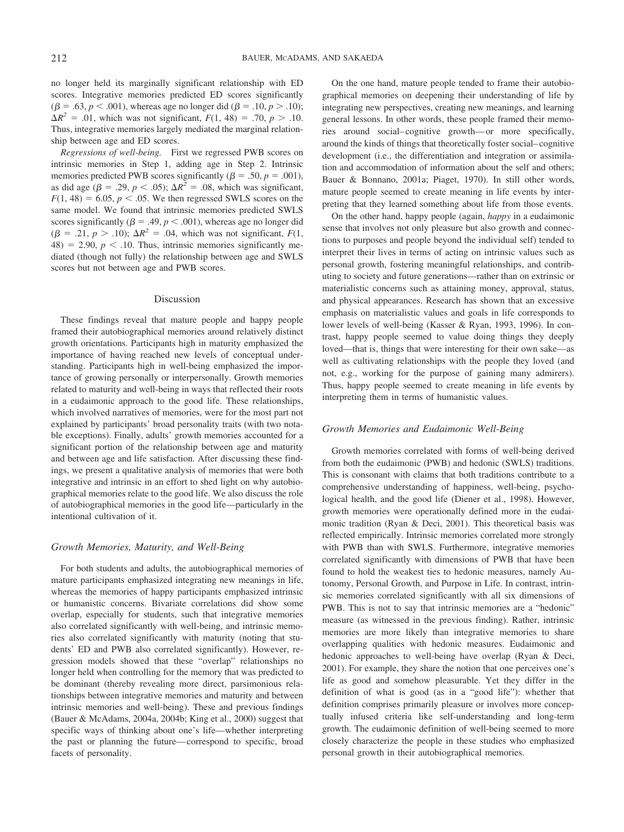no longer held its marginally significant relationship with ED scores. Integrative memories predicted ED scores significantly  $(\beta = .63, p < .001)$ , whereas age no longer did ( $\beta = .10, p > .10$ );  $\Delta R^2 = .01$ , which was not significant,  $F(1, 48) = .70$ ,  $p > .10$ . Thus, integrative memories largely mediated the marginal relationship between age and ED scores.

*Regressions of well-being.* First we regressed PWB scores on intrinsic memories in Step 1, adding age in Step 2. Intrinsic memories predicted PWB scores significantly ( $\beta = .50$ ,  $p = .001$ ), as did age ( $\beta = .29$ ,  $p < .05$ );  $\Delta R^2 = .08$ , which was significant,  $F(1, 48) = 6.05$ ,  $p < .05$ . We then regressed SWLS scores on the same model. We found that intrinsic memories predicted SWLS scores significantly ( $\beta = .49, p < .001$ ), whereas age no longer did  $(\beta = .21, p > .10)$ ;  $\Delta R^2 = .04$ , which was not significant,  $F(1,$  $48) = 2.90, p < .10$ . Thus, intrinsic memories significantly mediated (though not fully) the relationship between age and SWLS scores but not between age and PWB scores.

#### Discussion

These findings reveal that mature people and happy people framed their autobiographical memories around relatively distinct growth orientations. Participants high in maturity emphasized the importance of having reached new levels of conceptual understanding. Participants high in well-being emphasized the importance of growing personally or interpersonally. Growth memories related to maturity and well-being in ways that reflected their roots in a eudaimonic approach to the good life. These relationships, which involved narratives of memories, were for the most part not explained by participants' broad personality traits (with two notable exceptions). Finally, adults' growth memories accounted for a significant portion of the relationship between age and maturity and between age and life satisfaction. After discussing these findings, we present a qualitative analysis of memories that were both integrative and intrinsic in an effort to shed light on why autobiographical memories relate to the good life. We also discuss the role of autobiographical memories in the good life—particularly in the intentional cultivation of it.

### *Growth Memories, Maturity, and Well-Being*

For both students and adults, the autobiographical memories of mature participants emphasized integrating new meanings in life, whereas the memories of happy participants emphasized intrinsic or humanistic concerns. Bivariate correlations did show some overlap, especially for students, such that integrative memories also correlated significantly with well-being, and intrinsic memories also correlated significantly with maturity (noting that students' ED and PWB also correlated significantly). However, regression models showed that these "overlap" relationships no longer held when controlling for the memory that was predicted to be dominant (thereby revealing more direct, parsimonious relationships between integrative memories and maturity and between intrinsic memories and well-being). These and previous findings (Bauer & McAdams, 2004a, 2004b; King et al., 2000) suggest that specific ways of thinking about one's life—whether interpreting the past or planning the future— correspond to specific, broad facets of personality.

On the one hand, mature people tended to frame their autobiographical memories on deepening their understanding of life by integrating new perspectives, creating new meanings, and learning general lessons. In other words, these people framed their memories around social– cognitive growth— or more specifically, around the kinds of things that theoretically foster social– cognitive development (i.e., the differentiation and integration or assimilation and accommodation of information about the self and others; Bauer & Bonnano, 2001a; Piaget, 1970). In still other words, mature people seemed to create meaning in life events by interpreting that they learned something about life from those events.

On the other hand, happy people (again, *happy* in a eudaimonic sense that involves not only pleasure but also growth and connections to purposes and people beyond the individual self) tended to interpret their lives in terms of acting on intrinsic values such as personal growth, fostering meaningful relationships, and contributing to society and future generations—rather than on extrinsic or materialistic concerns such as attaining money, approval, status, and physical appearances. Research has shown that an excessive emphasis on materialistic values and goals in life corresponds to lower levels of well-being (Kasser & Ryan, 1993, 1996). In contrast, happy people seemed to value doing things they deeply loved—that is, things that were interesting for their own sake—as well as cultivating relationships with the people they loved (and not, e.g., working for the purpose of gaining many admirers). Thus, happy people seemed to create meaning in life events by interpreting them in terms of humanistic values.

#### *Growth Memories and Eudaimonic Well-Being*

Growth memories correlated with forms of well-being derived from both the eudaimonic (PWB) and hedonic (SWLS) traditions. This is consonant with claims that both traditions contribute to a comprehensive understanding of happiness, well-being, psychological health, and the good life (Diener et al., 1998). However, growth memories were operationally defined more in the eudaimonic tradition (Ryan & Deci, 2001). This theoretical basis was reflected empirically. Intrinsic memories correlated more strongly with PWB than with SWLS. Furthermore, integrative memories correlated significantly with dimensions of PWB that have been found to hold the weakest ties to hedonic measures, namely Autonomy, Personal Growth, and Purpose in Life. In contrast, intrinsic memories correlated significantly with all six dimensions of PWB. This is not to say that intrinsic memories are a "hedonic" measure (as witnessed in the previous finding). Rather, intrinsic memories are more likely than integrative memories to share overlapping qualities with hedonic measures. Eudaimonic and hedonic approaches to well-being have overlap (Ryan & Deci, 2001). For example, they share the notion that one perceives one's life as good and somehow pleasurable. Yet they differ in the definition of what is good (as in a "good life"): whether that definition comprises primarily pleasure or involves more conceptually infused criteria like self-understanding and long-term growth. The eudaimonic definition of well-being seemed to more closely characterize the people in these studies who emphasized personal growth in their autobiographical memories.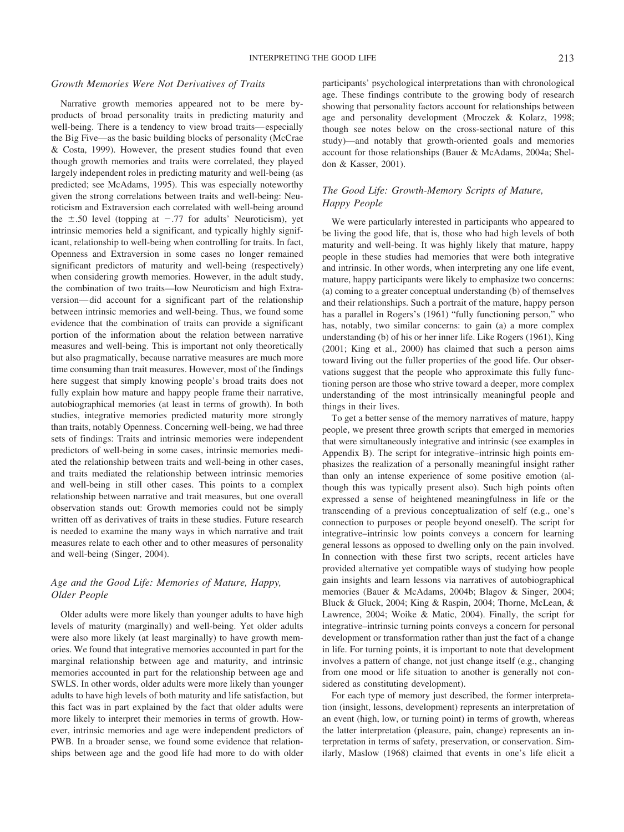### *Growth Memories Were Not Derivatives of Traits*

Narrative growth memories appeared not to be mere byproducts of broad personality traits in predicting maturity and well-being. There is a tendency to view broad traits— especially the Big Five—as the basic building blocks of personality (McCrae & Costa, 1999). However, the present studies found that even though growth memories and traits were correlated, they played largely independent roles in predicting maturity and well-being (as predicted; see McAdams, 1995). This was especially noteworthy given the strong correlations between traits and well-being: Neuroticism and Extraversion each correlated with well-being around the  $\pm .50$  level (topping at  $-.77$  for adults' Neuroticism), yet intrinsic memories held a significant, and typically highly significant, relationship to well-being when controlling for traits. In fact, Openness and Extraversion in some cases no longer remained significant predictors of maturity and well-being (respectively) when considering growth memories. However, in the adult study, the combination of two traits—low Neuroticism and high Extraversion— did account for a significant part of the relationship between intrinsic memories and well-being. Thus, we found some evidence that the combination of traits can provide a significant portion of the information about the relation between narrative measures and well-being. This is important not only theoretically but also pragmatically, because narrative measures are much more time consuming than trait measures. However, most of the findings here suggest that simply knowing people's broad traits does not fully explain how mature and happy people frame their narrative, autobiographical memories (at least in terms of growth). In both studies, integrative memories predicted maturity more strongly than traits, notably Openness. Concerning well-being, we had three sets of findings: Traits and intrinsic memories were independent predictors of well-being in some cases, intrinsic memories mediated the relationship between traits and well-being in other cases, and traits mediated the relationship between intrinsic memories and well-being in still other cases. This points to a complex relationship between narrative and trait measures, but one overall observation stands out: Growth memories could not be simply written off as derivatives of traits in these studies. Future research is needed to examine the many ways in which narrative and trait measures relate to each other and to other measures of personality and well-being (Singer, 2004).

# *Age and the Good Life: Memories of Mature, Happy, Older People*

Older adults were more likely than younger adults to have high levels of maturity (marginally) and well-being. Yet older adults were also more likely (at least marginally) to have growth memories. We found that integrative memories accounted in part for the marginal relationship between age and maturity, and intrinsic memories accounted in part for the relationship between age and SWLS. In other words, older adults were more likely than younger adults to have high levels of both maturity and life satisfaction, but this fact was in part explained by the fact that older adults were more likely to interpret their memories in terms of growth. However, intrinsic memories and age were independent predictors of PWB. In a broader sense, we found some evidence that relationships between age and the good life had more to do with older participants' psychological interpretations than with chronological age. These findings contribute to the growing body of research showing that personality factors account for relationships between age and personality development (Mroczek & Kolarz, 1998; though see notes below on the cross-sectional nature of this study)—and notably that growth-oriented goals and memories account for those relationships (Bauer & McAdams, 2004a; Sheldon & Kasser, 2001).

# *The Good Life: Growth-Memory Scripts of Mature, Happy People*

We were particularly interested in participants who appeared to be living the good life, that is, those who had high levels of both maturity and well-being. It was highly likely that mature, happy people in these studies had memories that were both integrative and intrinsic. In other words, when interpreting any one life event, mature, happy participants were likely to emphasize two concerns: (a) coming to a greater conceptual understanding (b) of themselves and their relationships. Such a portrait of the mature, happy person has a parallel in Rogers's (1961) "fully functioning person," who has, notably, two similar concerns: to gain (a) a more complex understanding (b) of his or her inner life. Like Rogers (1961), King (2001; King et al., 2000) has claimed that such a person aims toward living out the fuller properties of the good life. Our observations suggest that the people who approximate this fully functioning person are those who strive toward a deeper, more complex understanding of the most intrinsically meaningful people and things in their lives.

To get a better sense of the memory narratives of mature, happy people, we present three growth scripts that emerged in memories that were simultaneously integrative and intrinsic (see examples in Appendix B). The script for integrative–intrinsic high points emphasizes the realization of a personally meaningful insight rather than only an intense experience of some positive emotion (although this was typically present also). Such high points often expressed a sense of heightened meaningfulness in life or the transcending of a previous conceptualization of self (e.g., one's connection to purposes or people beyond oneself). The script for integrative–intrinsic low points conveys a concern for learning general lessons as opposed to dwelling only on the pain involved. In connection with these first two scripts, recent articles have provided alternative yet compatible ways of studying how people gain insights and learn lessons via narratives of autobiographical memories (Bauer & McAdams, 2004b; Blagov & Singer, 2004; Bluck & Gluck, 2004; King & Raspin, 2004; Thorne, McLean, & Lawrence, 2004; Woike & Matic, 2004). Finally, the script for integrative–intrinsic turning points conveys a concern for personal development or transformation rather than just the fact of a change in life. For turning points, it is important to note that development involves a pattern of change, not just change itself (e.g., changing from one mood or life situation to another is generally not considered as constituting development).

For each type of memory just described, the former interpretation (insight, lessons, development) represents an interpretation of an event (high, low, or turning point) in terms of growth, whereas the latter interpretation (pleasure, pain, change) represents an interpretation in terms of safety, preservation, or conservation. Similarly, Maslow (1968) claimed that events in one's life elicit a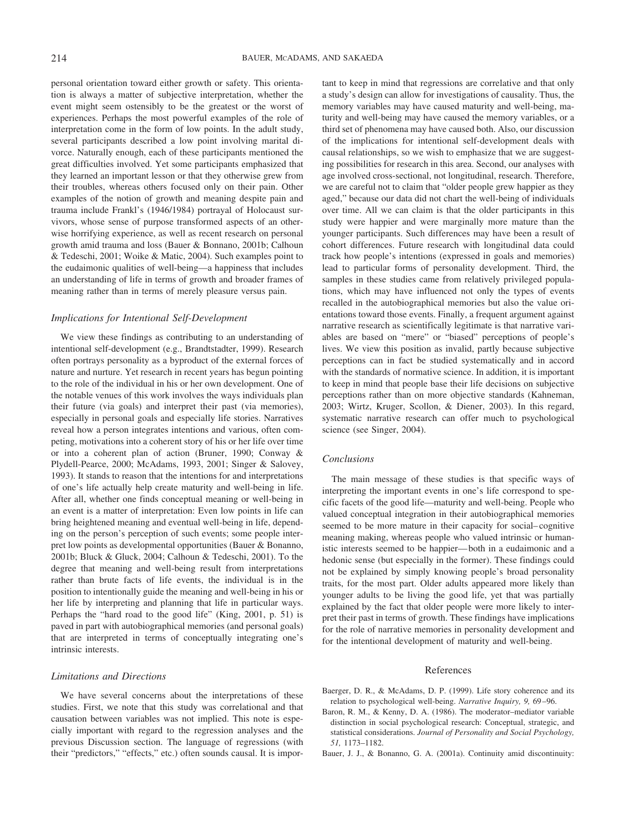personal orientation toward either growth or safety. This orientation is always a matter of subjective interpretation, whether the event might seem ostensibly to be the greatest or the worst of experiences. Perhaps the most powerful examples of the role of interpretation come in the form of low points. In the adult study, several participants described a low point involving marital divorce. Naturally enough, each of these participants mentioned the great difficulties involved. Yet some participants emphasized that they learned an important lesson or that they otherwise grew from their troubles, whereas others focused only on their pain. Other examples of the notion of growth and meaning despite pain and trauma include Frankl's (1946/1984) portrayal of Holocaust survivors, whose sense of purpose transformed aspects of an otherwise horrifying experience, as well as recent research on personal growth amid trauma and loss (Bauer & Bonnano, 2001b; Calhoun & Tedeschi, 2001; Woike & Matic, 2004). Such examples point to the eudaimonic qualities of well-being—a happiness that includes an understanding of life in terms of growth and broader frames of meaning rather than in terms of merely pleasure versus pain.

### *Implications for Intentional Self-Development*

We view these findings as contributing to an understanding of intentional self-development (e.g., Brandtstadter, 1999). Research often portrays personality as a byproduct of the external forces of nature and nurture. Yet research in recent years has begun pointing to the role of the individual in his or her own development. One of the notable venues of this work involves the ways individuals plan their future (via goals) and interpret their past (via memories), especially in personal goals and especially life stories. Narratives reveal how a person integrates intentions and various, often competing, motivations into a coherent story of his or her life over time or into a coherent plan of action (Bruner, 1990; Conway & Plydell-Pearce, 2000; McAdams, 1993, 2001; Singer & Salovey, 1993). It stands to reason that the intentions for and interpretations of one's life actually help create maturity and well-being in life. After all, whether one finds conceptual meaning or well-being in an event is a matter of interpretation: Even low points in life can bring heightened meaning and eventual well-being in life, depending on the person's perception of such events; some people interpret low points as developmental opportunities (Bauer & Bonanno, 2001b; Bluck & Gluck, 2004; Calhoun & Tedeschi, 2001). To the degree that meaning and well-being result from interpretations rather than brute facts of life events, the individual is in the position to intentionally guide the meaning and well-being in his or her life by interpreting and planning that life in particular ways. Perhaps the "hard road to the good life" (King, 2001, p. 51) is paved in part with autobiographical memories (and personal goals) that are interpreted in terms of conceptually integrating one's intrinsic interests.

### *Limitations and Directions*

We have several concerns about the interpretations of these studies. First, we note that this study was correlational and that causation between variables was not implied. This note is especially important with regard to the regression analyses and the previous Discussion section. The language of regressions (with their "predictors," "effects," etc.) often sounds causal. It is important to keep in mind that regressions are correlative and that only a study's design can allow for investigations of causality. Thus, the memory variables may have caused maturity and well-being, maturity and well-being may have caused the memory variables, or a third set of phenomena may have caused both. Also, our discussion of the implications for intentional self-development deals with causal relationships, so we wish to emphasize that we are suggesting possibilities for research in this area. Second, our analyses with age involved cross-sectional, not longitudinal, research. Therefore, we are careful not to claim that "older people grew happier as they aged," because our data did not chart the well-being of individuals over time. All we can claim is that the older participants in this study were happier and were marginally more mature than the younger participants. Such differences may have been a result of cohort differences. Future research with longitudinal data could track how people's intentions (expressed in goals and memories) lead to particular forms of personality development. Third, the samples in these studies came from relatively privileged populations, which may have influenced not only the types of events recalled in the autobiographical memories but also the value orientations toward those events. Finally, a frequent argument against narrative research as scientifically legitimate is that narrative variables are based on "mere" or "biased" perceptions of people's lives. We view this position as invalid, partly because subjective perceptions can in fact be studied systematically and in accord with the standards of normative science. In addition, it is important to keep in mind that people base their life decisions on subjective perceptions rather than on more objective standards (Kahneman, 2003; Wirtz, Kruger, Scollon, & Diener, 2003). In this regard, systematic narrative research can offer much to psychological science (see Singer, 2004).

### *Conclusions*

The main message of these studies is that specific ways of interpreting the important events in one's life correspond to specific facets of the good life—maturity and well-being. People who valued conceptual integration in their autobiographical memories seemed to be more mature in their capacity for social– cognitive meaning making, whereas people who valued intrinsic or humanistic interests seemed to be happier— both in a eudaimonic and a hedonic sense (but especially in the former). These findings could not be explained by simply knowing people's broad personality traits, for the most part. Older adults appeared more likely than younger adults to be living the good life, yet that was partially explained by the fact that older people were more likely to interpret their past in terms of growth. These findings have implications for the role of narrative memories in personality development and for the intentional development of maturity and well-being.

#### References

- Baerger, D. R., & McAdams, D. P. (1999). Life story coherence and its relation to psychological well-being. *Narrative Inquiry, 9,* 69 –96.
- Baron, R. M., & Kenny, D. A. (1986). The moderator–mediator variable distinction in social psychological research: Conceptual, strategic, and statistical considerations. *Journal of Personality and Social Psychology, 51,* 1173–1182.
- Bauer, J. J., & Bonanno, G. A. (2001a). Continuity amid discontinuity: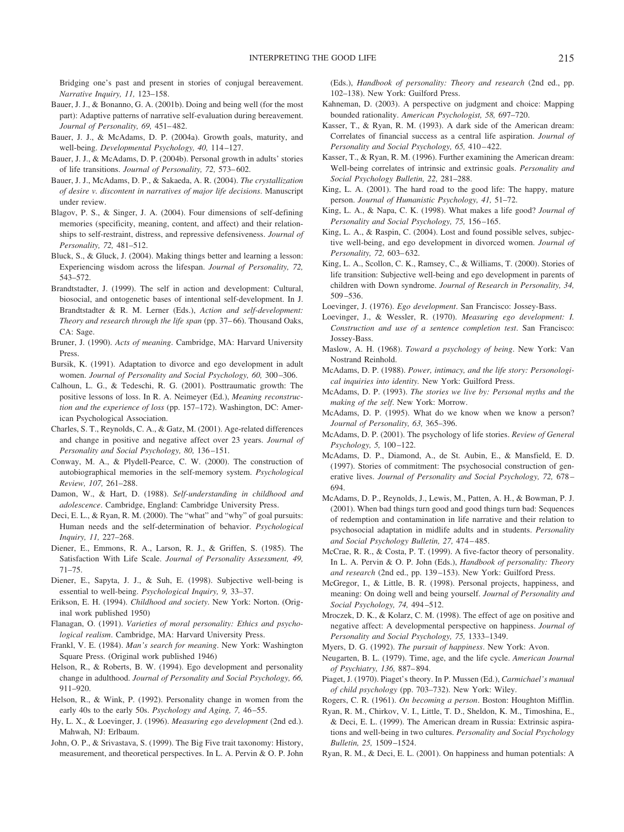Bridging one's past and present in stories of conjugal bereavement. *Narrative Inquiry, 11,* 123–158.

- Bauer, J. J., & Bonanno, G. A. (2001b). Doing and being well (for the most part): Adaptive patterns of narrative self-evaluation during bereavement. *Journal of Personality, 69,* 451– 482.
- Bauer, J. J., & McAdams, D. P. (2004a). Growth goals, maturity, and well-being. *Developmental Psychology, 40,* 114 –127.
- Bauer, J. J., & McAdams, D. P. (2004b). Personal growth in adults' stories of life transitions. *Journal of Personality, 72,* 573– 602.
- Bauer, J. J., McAdams, D. P., & Sakaeda, A. R. (2004). *The crystallization of desire v. discontent in narratives of major life decisions*. Manuscript under review.
- Blagov, P. S., & Singer, J. A. (2004). Four dimensions of self-defining memories (specificity, meaning, content, and affect) and their relationships to self-restraint, distress, and repressive defensiveness. *Journal of Personality, 72,* 481–512.
- Bluck, S., & Gluck, J. (2004). Making things better and learning a lesson: Experiencing wisdom across the lifespan. *Journal of Personality, 72,* 543–572.
- Brandtstadter, J. (1999). The self in action and development: Cultural, biosocial, and ontogenetic bases of intentional self-development. In J. Brandtstadter & R. M. Lerner (Eds.), *Action and self-development: Theory and research through the life span* (pp. 37–66). Thousand Oaks, CA: Sage.
- Bruner, J. (1990). *Acts of meaning*. Cambridge, MA: Harvard University Press.
- Bursik, K. (1991). Adaptation to divorce and ego development in adult women. *Journal of Personality and Social Psychology, 60,* 300 –306.
- Calhoun, L. G., & Tedeschi, R. G. (2001). Posttraumatic growth: The positive lessons of loss. In R. A. Neimeyer (Ed.), *Meaning reconstruction and the experience of loss* (pp. 157–172). Washington, DC: American Psychological Association.
- Charles, S. T., Reynolds, C. A., & Gatz, M. (2001). Age-related differences and change in positive and negative affect over 23 years. *Journal of Personality and Social Psychology, 80,* 136 –151.
- Conway, M. A., & Plydell-Pearce, C. W. (2000). The construction of autobiographical memories in the self-memory system. *Psychological Review, 107,* 261–288.
- Damon, W., & Hart, D. (1988). *Self-understanding in childhood and adolescence*. Cambridge, England: Cambridge University Press.
- Deci, E. L., & Ryan, R. M. (2000). The "what" and "why" of goal pursuits: Human needs and the self-determination of behavior. *Psychological Inquiry, 11,* 227–268.
- Diener, E., Emmons, R. A., Larson, R. J., & Griffen, S. (1985). The Satisfaction With Life Scale. *Journal of Personality Assessment, 49,* 71–75.
- Diener, E., Sapyta, J. J., & Suh, E. (1998). Subjective well-being is essential to well-being. *Psychological Inquiry, 9,* 33–37.
- Erikson, E. H. (1994). *Childhood and society*. New York: Norton. (Original work published 1950)
- Flanagan, O. (1991). *Varieties of moral personality: Ethics and psychological realism*. Cambridge, MA: Harvard University Press.
- Frankl, V. E. (1984). *Man's search for meaning*. New York: Washington Square Press. (Original work published 1946)
- Helson, R., & Roberts, B. W. (1994). Ego development and personality change in adulthood. *Journal of Personality and Social Psychology, 66,* 911–920.
- Helson, R., & Wink, P. (1992). Personality change in women from the early 40s to the early 50s. *Psychology and Aging, 7,* 46 –55.
- Hy, L. X., & Loevinger, J. (1996). *Measuring ego development* (2nd ed.). Mahwah, NJ: Erlbaum.
- John, O. P., & Srivastava, S. (1999). The Big Five trait taxonomy: History, measurement, and theoretical perspectives. In L. A. Pervin & O. P. John

(Eds.), *Handbook of personality: Theory and research* (2nd ed., pp. 102–138). New York: Guilford Press.

- Kahneman, D. (2003). A perspective on judgment and choice: Mapping bounded rationality. *American Psychologist, 58,* 697–720.
- Kasser, T., & Ryan, R. M. (1993). A dark side of the American dream: Correlates of financial success as a central life aspiration. *Journal of Personality and Social Psychology, 65, 410-422.*
- Kasser, T., & Ryan, R. M. (1996). Further examining the American dream: Well-being correlates of intrinsic and extrinsic goals. *Personality and Social Psychology Bulletin, 22,* 281–288.
- King, L. A. (2001). The hard road to the good life: The happy, mature person. *Journal of Humanistic Psychology, 41,* 51–72.
- King, L. A., & Napa, C. K. (1998). What makes a life good? *Journal of Personality and Social Psychology, 75,* 156 –165.
- King, L. A., & Raspin, C. (2004). Lost and found possible selves, subjective well-being, and ego development in divorced women. *Journal of Personality, 72,* 603– 632.
- King, L. A., Scollon, C. K., Ramsey, C., & Williams, T. (2000). Stories of life transition: Subjective well-being and ego development in parents of children with Down syndrome. *Journal of Research in Personality, 34,* 509 –536.
- Loevinger, J. (1976). *Ego development*. San Francisco: Jossey-Bass.
- Loevinger, J., & Wessler, R. (1970). *Measuring ego development: I. Construction and use of a sentence completion test*. San Francisco: Jossey-Bass.
- Maslow, A. H. (1968). *Toward a psychology of being*. New York: Van Nostrand Reinhold.
- McAdams, D. P. (1988). *Power, intimacy, and the life story: Personological inquiries into identity.* New York: Guilford Press.
- McAdams, D. P. (1993). *The stories we live by: Personal myths and the making of the self*. New York: Morrow.
- McAdams, D. P. (1995). What do we know when we know a person? *Journal of Personality, 63,* 365–396.
- McAdams, D. P. (2001). The psychology of life stories. *Review of General Psychology, 5,* 100 –122.
- McAdams, D. P., Diamond, A., de St. Aubin, E., & Mansfield, E. D. (1997). Stories of commitment: The psychosocial construction of generative lives. *Journal of Personality and Social Psychology, 72,* 678 – 694.
- McAdams, D. P., Reynolds, J., Lewis, M., Patten, A. H., & Bowman, P. J. (2001). When bad things turn good and good things turn bad: Sequences of redemption and contamination in life narrative and their relation to psychosocial adaptation in midlife adults and in students. *Personality and Social Psychology Bulletin, 27,* 474 – 485.
- McCrae, R. R., & Costa, P. T. (1999). A five-factor theory of personality. In L. A. Pervin & O. P. John (Eds.), *Handbook of personality: Theory and research* (2nd ed., pp. 139 –153). New York: Guilford Press.
- McGregor, I., & Little, B. R. (1998). Personal projects, happiness, and meaning: On doing well and being yourself. *Journal of Personality and Social Psychology, 74,* 494 –512.
- Mroczek, D. K., & Kolarz, C. M. (1998). The effect of age on positive and negative affect: A developmental perspective on happiness. *Journal of Personality and Social Psychology, 75,* 1333–1349.
- Myers, D. G. (1992). *The pursuit of happiness*. New York: Avon.
- Neugarten, B. L. (1979). Time, age, and the life cycle. *American Journal of Psychiatry, 136,* 887– 894.
- Piaget, J. (1970). Piaget's theory. In P. Mussen (Ed.), *Carmichael's manual of child psychology* (pp. 703–732). New York: Wiley.
- Rogers, C. R. (1961). *On becoming a person*. Boston: Houghton Mifflin.
- Ryan, R. M., Chirkov, V. I., Little, T. D., Sheldon, K. M., Timoshina, E., & Deci, E. L. (1999). The American dream in Russia: Extrinsic aspirations and well-being in two cultures. *Personality and Social Psychology Bulletin, 25,* 1509 –1524.
- Ryan, R. M., & Deci, E. L. (2001). On happiness and human potentials: A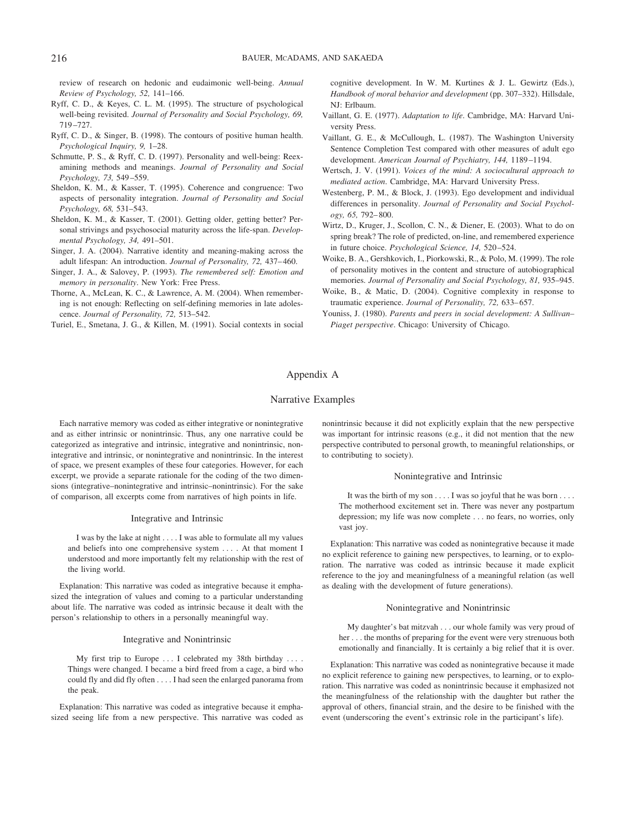review of research on hedonic and eudaimonic well-being. *Annual Review of Psychology, 52,* 141–166.

- Ryff, C. D., & Keyes, C. L. M. (1995). The structure of psychological well-being revisited. *Journal of Personality and Social Psychology, 69,* 719 –727.
- Ryff, C. D., & Singer, B. (1998). The contours of positive human health. *Psychological Inquiry, 9,* 1–28.
- Schmutte, P. S., & Ryff, C. D. (1997). Personality and well-being: Reexamining methods and meanings. *Journal of Personality and Social Psychology, 73,* 549 –559.
- Sheldon, K. M., & Kasser, T. (1995). Coherence and congruence: Two aspects of personality integration. *Journal of Personality and Social Psychology, 68,* 531–543.
- Sheldon, K. M., & Kasser, T. (2001). Getting older, getting better? Personal strivings and psychosocial maturity across the life-span. *Developmental Psychology, 34,* 491–501.
- Singer, J. A. (2004). Narrative identity and meaning-making across the adult lifespan: An introduction. *Journal of Personality, 72,* 437– 460.
- Singer, J. A., & Salovey, P. (1993). *The remembered self: Emotion and memory in personality*. New York: Free Press.
- Thorne, A., McLean, K. C., & Lawrence, A. M. (2004). When remembering is not enough: Reflecting on self-defining memories in late adolescence. *Journal of Personality, 72,* 513–542.
- Turiel, E., Smetana, J. G., & Killen, M. (1991). Social contexts in social

cognitive development. In W. M. Kurtines & J. L. Gewirtz (Eds.), *Handbook of moral behavior and development* (pp. 307–332). Hillsdale, NJ: Erlbaum.

- Vaillant, G. E. (1977). *Adaptation to life*. Cambridge, MA: Harvard University Press.
- Vaillant, G. E., & McCullough, L. (1987). The Washington University Sentence Completion Test compared with other measures of adult ego development. *American Journal of Psychiatry, 144,* 1189 –1194.
- Wertsch, J. V. (1991). *Voices of the mind: A sociocultural approach to mediated action*. Cambridge, MA: Harvard University Press.
- Westenberg, P. M., & Block, J. (1993). Ego development and individual differences in personality. *Journal of Personality and Social Psychology, 65,* 792– 800.
- Wirtz, D., Kruger, J., Scollon, C. N., & Diener, E. (2003). What to do on spring break? The role of predicted, on-line, and remembered experience in future choice. *Psychological Science, 14,* 520 –524.
- Woike, B. A., Gershkovich, I., Piorkowski, R., & Polo, M. (1999). The role of personality motives in the content and structure of autobiographical memories. *Journal of Personality and Social Psychology, 81,* 935–945.
- Woike, B., & Matic, D. (2004). Cognitive complexity in response to traumatic experience. *Journal of Personality*, 72, 633-657.
- Youniss, J. (1980). *Parents and peers in social development: A Sullivan– Piaget perspective*. Chicago: University of Chicago.

# Appendix A

### Narrative Examples

Each narrative memory was coded as either integrative or nonintegrative and as either intrinsic or nonintrinsic. Thus, any one narrative could be categorized as integrative and intrinsic, integrative and nonintrinsic, nonintegrative and intrinsic, or nonintegrative and nonintrinsic. In the interest of space, we present examples of these four categories. However, for each excerpt, we provide a separate rationale for the coding of the two dimensions (integrative–nonintegrative and intrinsic–nonintrinsic). For the sake of comparison, all excerpts come from narratives of high points in life.

#### Integrative and Intrinsic

I was by the lake at night . . . . I was able to formulate all my values and beliefs into one comprehensive system . . . . At that moment I understood and more importantly felt my relationship with the rest of the living world.

Explanation: This narrative was coded as integrative because it emphasized the integration of values and coming to a particular understanding about life. The narrative was coded as intrinsic because it dealt with the person's relationship to others in a personally meaningful way.

#### Integrative and Nonintrinsic

My first trip to Europe . . . I celebrated my 38th birthday . . . . Things were changed. I became a bird freed from a cage, a bird who could fly and did fly often . . . . I had seen the enlarged panorama from the peak.

Explanation: This narrative was coded as integrative because it emphasized seeing life from a new perspective. This narrative was coded as nonintrinsic because it did not explicitly explain that the new perspective was important for intrinsic reasons (e.g., it did not mention that the new perspective contributed to personal growth, to meaningful relationships, or to contributing to society).

#### Nonintegrative and Intrinsic

It was the birth of my son . . . . I was so joyful that he was born .... The motherhood excitement set in. There was never any postpartum depression; my life was now complete . . . no fears, no worries, only vast joy.

Explanation: This narrative was coded as nonintegrative because it made no explicit reference to gaining new perspectives, to learning, or to exploration. The narrative was coded as intrinsic because it made explicit reference to the joy and meaningfulness of a meaningful relation (as well as dealing with the development of future generations).

### Nonintegrative and Nonintrinsic

My daughter's bat mitzvah . . . our whole family was very proud of her . . . the months of preparing for the event were very strenuous both emotionally and financially. It is certainly a big relief that it is over.

Explanation: This narrative was coded as nonintegrative because it made no explicit reference to gaining new perspectives, to learning, or to exploration. This narrative was coded as nonintrinsic because it emphasized not the meaningfulness of the relationship with the daughter but rather the approval of others, financial strain, and the desire to be finished with the event (underscoring the event's extrinsic role in the participant's life).